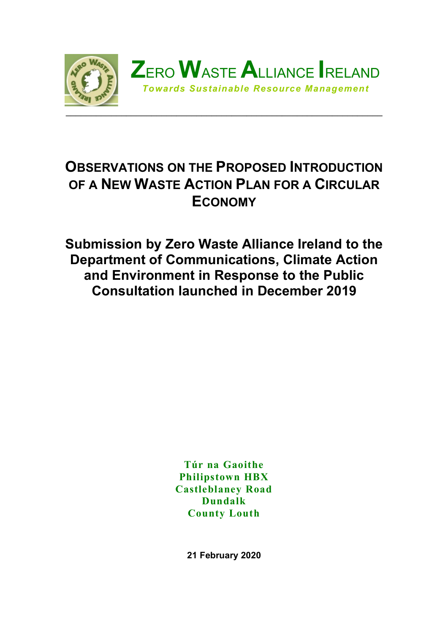

# **OBSERVATIONS ON THE PROPOSED INTRODUCTION OF A NEW WASTE ACTION PLAN FOR A CIRCULAR ECONOMY**

**Submission by Zero Waste Alliance Ireland to the Department of Communications, Climate Action and Environment in Response to the Public Consultation launched in December 2019**

> **Túr na Gaoithe Philipstown HBX Castleblaney Road Dundalk County Louth**

> > **21 February 2020**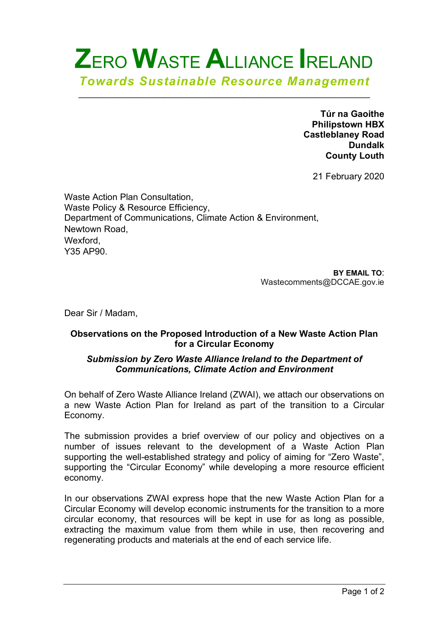# **Z**ERO **W**ASTE **A**LLIANCE **I**RELAND *Towards Sustainable Resource Management*

\_\_\_\_\_\_\_\_\_\_\_\_\_\_\_\_\_\_\_\_\_\_\_\_\_\_\_\_\_\_\_\_\_\_\_\_\_\_\_\_\_\_\_\_\_\_\_\_\_\_\_\_\_\_\_\_\_\_

**Túr na Gaoithe Philipstown HBX Castleblaney Road Dundalk County Louth**

21 February 2020

Waste Action Plan Consultation, Waste Policy & Resource Efficiency, Department of Communications, Climate Action & Environment, Newtown Road, Wexford, Y35 AP90.

> **BY EMAIL TO**: Wastecomments@DCCAE.gov.ie

Dear Sir / Madam,

#### **Observations on the Proposed Introduction of a New Waste Action Plan for a Circular Economy**

#### *Submission by Zero Waste Alliance Ireland to the Department of Communications, Climate Action and Environment*

On behalf of Zero Waste Alliance Ireland (ZWAI), we attach our observations on a new Waste Action Plan for Ireland as part of the transition to a Circular Economy.

The submission provides a brief overview of our policy and objectives on a number of issues relevant to the development of a Waste Action Plan supporting the well-established strategy and policy of aiming for "Zero Waste", supporting the "Circular Economy" while developing a more resource efficient economy.

In our observations ZWAI express hope that the new Waste Action Plan for a Circular Economy will develop economic instruments for the transition to a more circular economy, that resources will be kept in use for as long as possible, extracting the maximum value from them while in use, then recovering and regenerating products and materials at the end of each service life.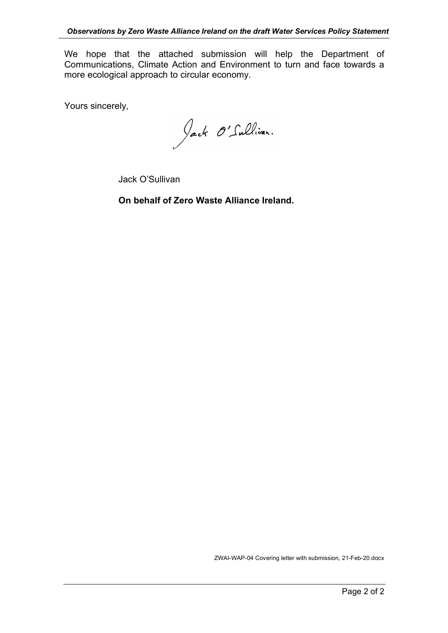We hope that the attached submission will help the Department of Communications, Climate Action and Environment to turn and face towards a more ecological approach to circular economy.

Yours sincerely,

Jack O'Sullivan.

Jack O'Sullivan

**On behalf of Zero Waste Alliance Ireland.**

ZWAI-WAP-04 Covering letter with submission, 21-Feb-20.docx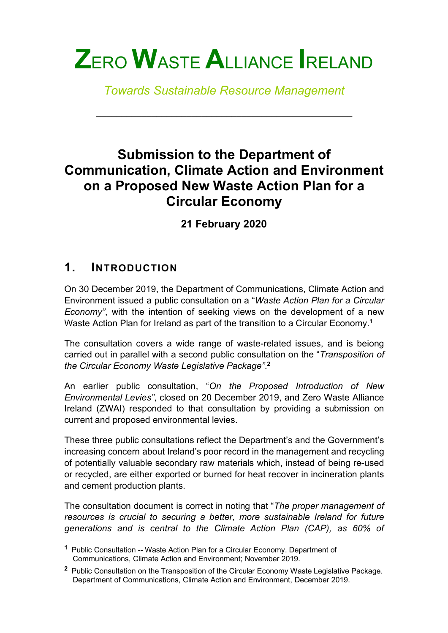# **Z**ERO **W**ASTE **A**LLIANCE **I**RELAND

*Towards Sustainable Resource Management*

\_\_\_\_\_\_\_\_\_\_\_\_\_\_\_\_\_\_\_\_\_\_\_\_\_\_\_\_\_\_\_\_\_\_\_\_\_\_\_\_\_\_\_\_\_\_\_\_\_\_\_

# **Submission to the Department of Communication, Climate Action and Environment on a Proposed New Waste Action Plan for a Circular Economy**

**21 February 2020**

# **1. INTRODUCTION**

1

On 30 December 2019, the Department of Communications, Climate Action and Environment issued a public consultation on a "*Waste Action Plan for a Circular Economy"*, with the intention of seeking views on the development of a new Waste Action Plan for Ireland as part of the transition to a Circular Economy. **1**

The consultation covers a wide range of waste-related issues, and is beiong carried out in parallel with a second public consultation on the "*Transposition of the Circular Economy Waste Legislative Package"*. **2**

An earlier public consultation, "*On the Proposed Introduction of New Environmental Levies"*, closed on 20 December 2019, and Zero Waste Alliance Ireland (ZWAI) responded to that consultation by providing a submission on current and proposed environmental levies.

These three public consultations reflect the Department's and the Government's increasing concern about Ireland's poor record in the management and recycling of potentially valuable secondary raw materials which, instead of being re-used or recycled, are either exported or burned for heat recover in incineration plants and cement production plants.

The consultation document is correct in noting that "*The proper management of resources is crucial to securing a better, more sustainable Ireland for future generations and is central to the Climate Action Plan (CAP), as 60% of* 

**<sup>1</sup>** Public Consultation -- Waste Action Plan for a Circular Economy. Department of Communications, Climate Action and Environment; November 2019.

**<sup>2</sup>** Public Consultation on the Transposition of the Circular Economy Waste Legislative Package. Department of Communications, Climate Action and Environment, December 2019.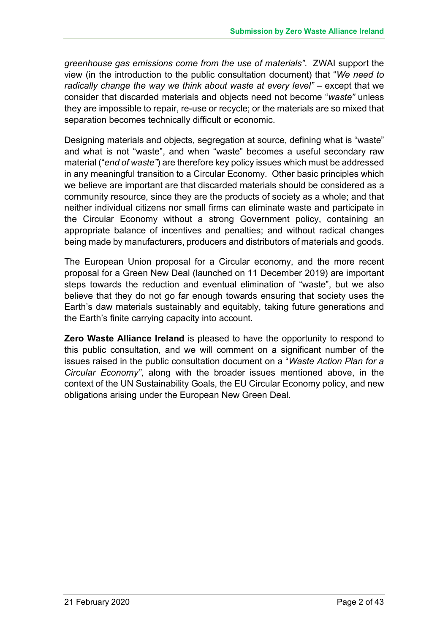*greenhouse gas emissions come from the use of materials"*. ZWAI support the view (in the introduction to the public consultation document) that "*We need to radically change the way we think about waste at every level"* – except that we consider that discarded materials and objects need not become "*waste"* unless they are impossible to repair, re-use or recycle; or the materials are so mixed that separation becomes technically difficult or economic.

Designing materials and objects, segregation at source, defining what is "waste" and what is not "waste", and when "waste" becomes a useful secondary raw material ("*end of waste"*) are therefore key policy issues which must be addressed in any meaningful transition to a Circular Economy. Other basic principles which we believe are important are that discarded materials should be considered as a community resource, since they are the products of society as a whole; and that neither individual citizens nor small firms can eliminate waste and participate in the Circular Economy without a strong Government policy, containing an appropriate balance of incentives and penalties; and without radical changes being made by manufacturers, producers and distributors of materials and goods.

The European Union proposal for a Circular economy, and the more recent proposal for a Green New Deal (launched on 11 December 2019) are important steps towards the reduction and eventual elimination of "waste", but we also believe that they do not go far enough towards ensuring that society uses the Earth's daw materials sustainably and equitably, taking future generations and the Earth's finite carrying capacity into account.

**Zero Waste Alliance Ireland** is pleased to have the opportunity to respond to this public consultation, and we will comment on a significant number of the issues raised in the public consultation document on a "*Waste Action Plan for a Circular Economy"*, along with the broader issues mentioned above, in the context of the UN Sustainability Goals, the EU Circular Economy policy, and new obligations arising under the European New Green Deal.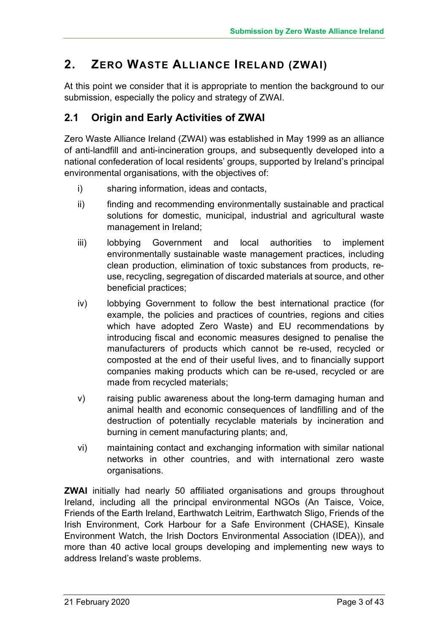# **2. ZERO WASTE ALLIANCE IRELAND (ZWAI)**

At this point we consider that it is appropriate to mention the background to our submission, especially the policy and strategy of ZWAI.

# **2.1 Origin and Early Activities of ZWAI**

Zero Waste Alliance Ireland (ZWAI) was established in May 1999 as an alliance of anti-landfill and anti-incineration groups, and subsequently developed into a national confederation of local residents' groups, supported by Ireland's principal environmental organisations, with the objectives of:

- i) sharing information, ideas and contacts,
- ii) finding and recommending environmentally sustainable and practical solutions for domestic, municipal, industrial and agricultural waste management in Ireland;
- iii) lobbying Government and local authorities to implement environmentally sustainable waste management practices, including clean production, elimination of toxic substances from products, reuse, recycling, segregation of discarded materials at source, and other beneficial practices;
- iv) lobbying Government to follow the best international practice (for example, the policies and practices of countries, regions and cities which have adopted Zero Waste) and EU recommendations by introducing fiscal and economic measures designed to penalise the manufacturers of products which cannot be re-used, recycled or composted at the end of their useful lives, and to financially support companies making products which can be re-used, recycled or are made from recycled materials;
- v) raising public awareness about the long-term damaging human and animal health and economic consequences of landfilling and of the destruction of potentially recyclable materials by incineration and burning in cement manufacturing plants; and,
- vi) maintaining contact and exchanging information with similar national networks in other countries, and with international zero waste organisations.

**ZWAI** initially had nearly 50 affiliated organisations and groups throughout Ireland, including all the principal environmental NGOs (An Taisce, Voice, Friends of the Earth Ireland, Earthwatch Leitrim, Earthwatch Sligo, Friends of the Irish Environment, Cork Harbour for a Safe Environment (CHASE), Kinsale Environment Watch, the Irish Doctors Environmental Association (IDEA)), and more than 40 active local groups developing and implementing new ways to address Ireland's waste problems.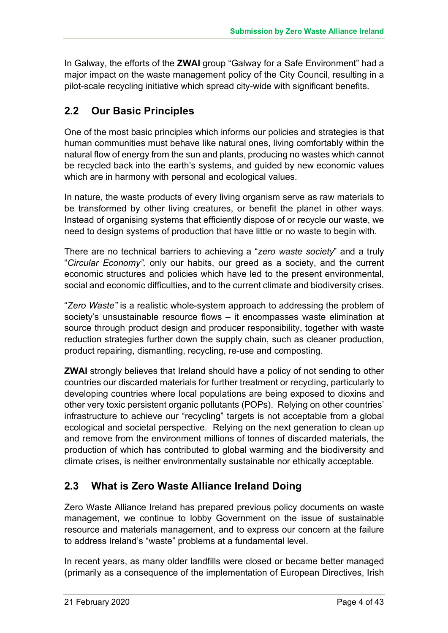In Galway, the efforts of the **ZWAI** group "Galway for a Safe Environment" had a major impact on the waste management policy of the City Council, resulting in a pilot-scale recycling initiative which spread city-wide with significant benefits.

# **2.2 Our Basic Principles**

One of the most basic principles which informs our policies and strategies is that human communities must behave like natural ones, living comfortably within the natural flow of energy from the sun and plants, producing no wastes which cannot be recycled back into the earth's systems, and guided by new economic values which are in harmony with personal and ecological values.

In nature, the waste products of every living organism serve as raw materials to be transformed by other living creatures, or benefit the planet in other ways. Instead of organising systems that efficiently dispose of or recycle our waste, we need to design systems of production that have little or no waste to begin with.

There are no technical barriers to achieving a "*zero waste society*" and a truly "*Circular Economy",* only our habits, our greed as a society, and the current economic structures and policies which have led to the present environmental, social and economic difficulties, and to the current climate and biodiversity crises.

"*Zero Waste"* is a realistic whole-system approach to addressing the problem of society's unsustainable resource flows – it encompasses waste elimination at source through product design and producer responsibility, together with waste reduction strategies further down the supply chain, such as cleaner production, product repairing, dismantling, recycling, re-use and composting.

**ZWAI** strongly believes that Ireland should have a policy of not sending to other countries our discarded materials for further treatment or recycling, particularly to developing countries where local populations are being exposed to dioxins and other very toxic persistent organic pollutants (POPs). Relying on other countries' infrastructure to achieve our "recycling" targets is not acceptable from a global ecological and societal perspective. Relying on the next generation to clean up and remove from the environment millions of tonnes of discarded materials, the production of which has contributed to global warming and the biodiversity and climate crises, is neither environmentally sustainable nor ethically acceptable.

# **2.3 What is Zero Waste Alliance Ireland Doing**

Zero Waste Alliance Ireland has prepared previous policy documents on waste management, we continue to lobby Government on the issue of sustainable resource and materials management, and to express our concern at the failure to address Ireland's "waste" problems at a fundamental level.

In recent years, as many older landfills were closed or became better managed (primarily as a consequence of the implementation of European Directives, Irish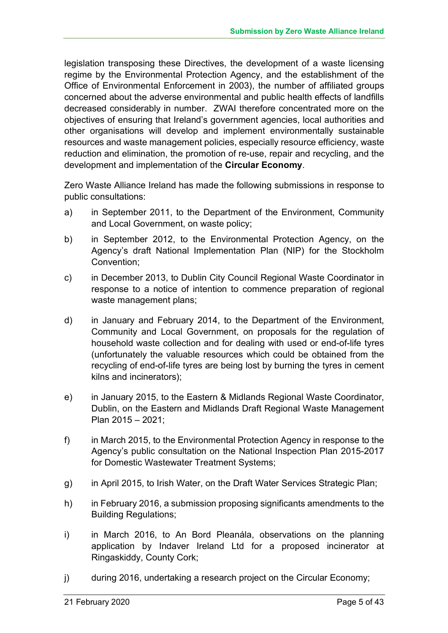legislation transposing these Directives, the development of a waste licensing regime by the Environmental Protection Agency, and the establishment of the Office of Environmental Enforcement in 2003), the number of affiliated groups concerned about the adverse environmental and public health effects of landfills decreased considerably in number. ZWAI therefore concentrated more on the objectives of ensuring that Ireland's government agencies, local authorities and other organisations will develop and implement environmentally sustainable resources and waste management policies, especially resource efficiency, waste reduction and elimination, the promotion of re-use, repair and recycling, and the development and implementation of the **Circular Economy**.

Zero Waste Alliance Ireland has made the following submissions in response to public consultations:

- a) in September 2011, to the Department of the Environment, Community and Local Government, on waste policy;
- b) in September 2012, to the Environmental Protection Agency, on the Agency's draft National Implementation Plan (NIP) for the Stockholm Convention;
- c) in December 2013, to Dublin City Council Regional Waste Coordinator in response to a notice of intention to commence preparation of regional waste management plans;
- d) in January and February 2014, to the Department of the Environment, Community and Local Government, on proposals for the regulation of household waste collection and for dealing with used or end-of-life tyres (unfortunately the valuable resources which could be obtained from the recycling of end-of-life tyres are being lost by burning the tyres in cement kilns and incinerators);
- e) in January 2015, to the Eastern & Midlands Regional Waste Coordinator, Dublin, on the Eastern and Midlands Draft Regional Waste Management Plan 2015 – 2021;
- f) in March 2015, to the Environmental Protection Agency in response to the Agency's public consultation on the National Inspection Plan 2015-2017 for Domestic Wastewater Treatment Systems;
- g) in April 2015, to Irish Water, on the Draft Water Services Strategic Plan;
- h) in February 2016, a submission proposing significants amendments to the Building Regulations;
- i) in March 2016, to An Bord Pleanála, observations on the planning application by Indaver Ireland Ltd for a proposed incinerator at Ringaskiddy, County Cork;
- j) during 2016, undertaking a research project on the Circular Economy;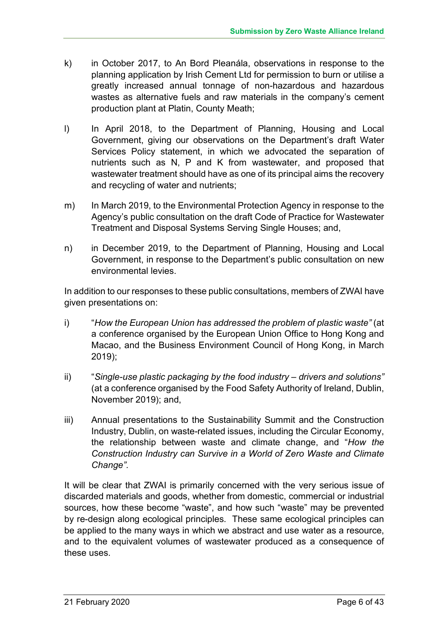- k) in October 2017, to An Bord Pleanála, observations in response to the planning application by Irish Cement Ltd for permission to burn or utilise a greatly increased annual tonnage of non-hazardous and hazardous wastes as alternative fuels and raw materials in the company's cement production plant at Platin, County Meath;
- l) In April 2018, to the Department of Planning, Housing and Local Government, giving our observations on the Department's draft Water Services Policy statement, in which we advocated the separation of nutrients such as N, P and K from wastewater, and proposed that wastewater treatment should have as one of its principal aims the recovery and recycling of water and nutrients;
- m) In March 2019, to the Environmental Protection Agency in response to the Agency's public consultation on the draft Code of Practice for Wastewater Treatment and Disposal Systems Serving Single Houses; and,
- n) in December 2019, to the Department of Planning, Housing and Local Government, in response to the Department's public consultation on new environmental levies.

In addition to our responses to these public consultations, members of ZWAI have given presentations on:

- i) "*How the European Union has addressed the problem of plastic waste"* (at a conference organised by the European Union Office to Hong Kong and Macao, and the Business Environment Council of Hong Kong, in March 2019);
- ii) "*Single-use plastic packaging by the food industry – drivers and solutions"* (at a conference organised by the Food Safety Authority of Ireland, Dublin, November 2019); and,
- iii) Annual presentations to the Sustainability Summit and the Construction Industry, Dublin, on waste-related issues, including the Circular Economy, the relationship between waste and climate change, and "*How the Construction Industry can Survive in a World of Zero Waste and Climate Change".*

It will be clear that ZWAI is primarily concerned with the very serious issue of discarded materials and goods, whether from domestic, commercial or industrial sources, how these become "waste", and how such "waste" may be prevented by re-design along ecological principles. These same ecological principles can be applied to the many ways in which we abstract and use water as a resource, and to the equivalent volumes of wastewater produced as a consequence of these uses.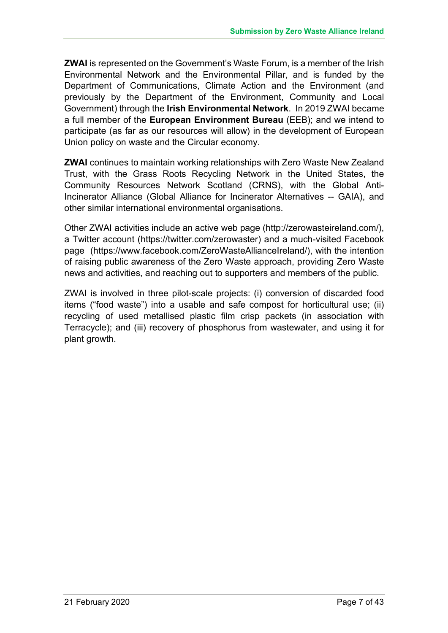**ZWAI** is represented on the Government's Waste Forum, is a member of the Irish Environmental Network and the Environmental Pillar, and is funded by the Department of Communications, Climate Action and the Environment (and previously by the Department of the Environment, Community and Local Government) through the **Irish Environmental Network**. In 2019 ZWAI became a full member of the **European Environment Bureau** (EEB); and we intend to participate (as far as our resources will allow) in the development of European Union policy on waste and the Circular economy.

**ZWAI** continues to maintain working relationships with Zero Waste New Zealand Trust, with the Grass Roots Recycling Network in the United States, the Community Resources Network Scotland (CRNS), with the Global Anti-Incinerator Alliance (Global Alliance for Incinerator Alternatives -- GAIA), and other similar international environmental organisations.

Other ZWAI activities include an active web page (http://zerowasteireland.com/), a Twitter account (https://twitter.com/zerowaster) and a much-visited Facebook page (https://www.facebook.com/ZeroWasteAllianceIreland/), with the intention of raising public awareness of the Zero Waste approach, providing Zero Waste news and activities, and reaching out to supporters and members of the public.

ZWAI is involved in three pilot-scale projects: (i) conversion of discarded food items ("food waste") into a usable and safe compost for horticultural use; (ii) recycling of used metallised plastic film crisp packets (in association with Terracycle); and (iii) recovery of phosphorus from wastewater, and using it for plant growth.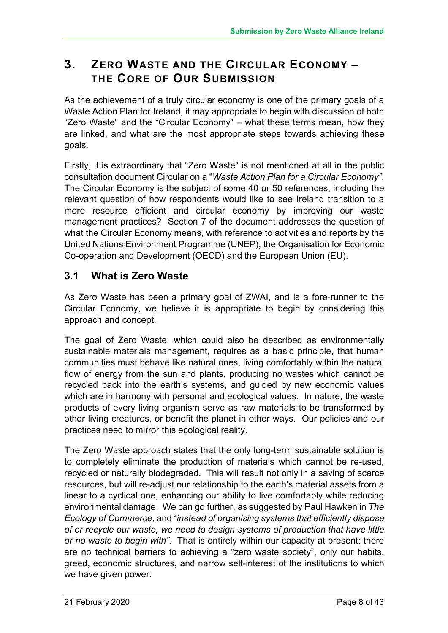# **3. ZERO WASTE AND THE CIRCULAR ECONOMY – THE CORE OF OUR SUBMISSION**

As the achievement of a truly circular economy is one of the primary goals of a Waste Action Plan for Ireland, it may appropriate to begin with discussion of both "Zero Waste" and the "Circular Economy" – what these terms mean, how they are linked, and what are the most appropriate steps towards achieving these goals.

Firstly, it is extraordinary that "Zero Waste" is not mentioned at all in the public consultation document Circular on a "*Waste Action Plan for a Circular Economy"*. The Circular Economy is the subject of some 40 or 50 references, including the relevant question of how respondents would like to see Ireland transition to a more resource efficient and circular economy by improving our waste management practices? Section 7 of the document addresses the question of what the Circular Economy means, with reference to activities and reports by the United Nations Environment Programme (UNEP), the Organisation for Economic Co-operation and Development (OECD) and the European Union (EU).

## **3.1 What is Zero Waste**

As Zero Waste has been a primary goal of ZWAI, and is a fore-runner to the Circular Economy, we believe it is appropriate to begin by considering this approach and concept.

The goal of Zero Waste, which could also be described as environmentally sustainable materials management, requires as a basic principle, that human communities must behave like natural ones, living comfortably within the natural flow of energy from the sun and plants, producing no wastes which cannot be recycled back into the earth's systems, and guided by new economic values which are in harmony with personal and ecological values. In nature, the waste products of every living organism serve as raw materials to be transformed by other living creatures, or benefit the planet in other ways. Our policies and our practices need to mirror this ecological reality.

The Zero Waste approach states that the only long-term sustainable solution is to completely eliminate the production of materials which cannot be re-used, recycled or naturally biodegraded. This will result not only in a saving of scarce resources, but will re-adjust our relationship to the earth's material assets from a linear to a cyclical one, enhancing our ability to live comfortably while reducing environmental damage. We can go further, as suggested by Paul Hawken in *The Ecology of Commerce*, and "*instead of organising systems that efficiently dispose of or recycle our waste, we need to design systems of production that have little or no waste to begin with".* That is entirely within our capacity at present; there are no technical barriers to achieving a "zero waste society", only our habits, greed, economic structures, and narrow self-interest of the institutions to which we have given power.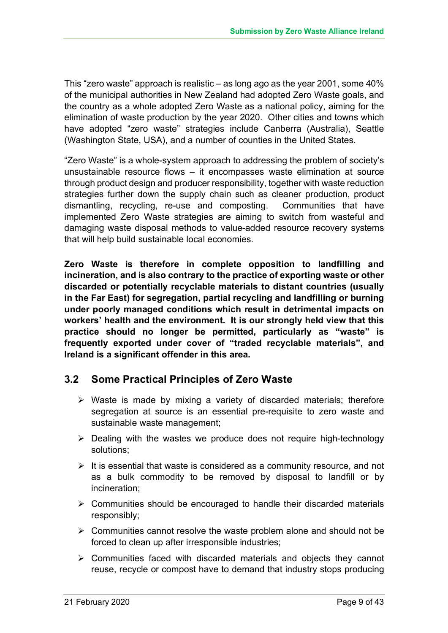This "zero waste" approach is realistic – as long ago as the year 2001, some 40% of the municipal authorities in New Zealand had adopted Zero Waste goals, and the country as a whole adopted Zero Waste as a national policy, aiming for the elimination of waste production by the year 2020. Other cities and towns which have adopted "zero waste" strategies include Canberra (Australia), Seattle (Washington State, USA), and a number of counties in the United States.

"Zero Waste" is a whole-system approach to addressing the problem of society's unsustainable resource flows – it encompasses waste elimination at source through product design and producer responsibility, together with waste reduction strategies further down the supply chain such as cleaner production, product dismantling, recycling, re-use and composting. Communities that have implemented Zero Waste strategies are aiming to switch from wasteful and damaging waste disposal methods to value-added resource recovery systems that will help build sustainable local economies.

**Zero Waste is therefore in complete opposition to landfilling and incineration, and is also contrary to the practice of exporting waste or other discarded or potentially recyclable materials to distant countries (usually in the Far East) for segregation, partial recycling and landfilling or burning under poorly managed conditions which result in detrimental impacts on workers' health and the environment. It is our strongly held view that this practice should no longer be permitted, particularly as "waste" is frequently exported under cover of "traded recyclable materials", and Ireland is a significant offender in this area.**

# **3.2 Some Practical Principles of Zero Waste**

- $\triangleright$  Waste is made by mixing a variety of discarded materials; therefore segregation at source is an essential pre-requisite to zero waste and sustainable waste management;
- $\triangleright$  Dealing with the wastes we produce does not require high-technology solutions;
- $\triangleright$  It is essential that waste is considered as a community resource, and not as a bulk commodity to be removed by disposal to landfill or by incineration;
- $\triangleright$  Communities should be encouraged to handle their discarded materials responsibly;
- $\triangleright$  Communities cannot resolve the waste problem alone and should not be forced to clean up after irresponsible industries;
- $\triangleright$  Communities faced with discarded materials and objects they cannot reuse, recycle or compost have to demand that industry stops producing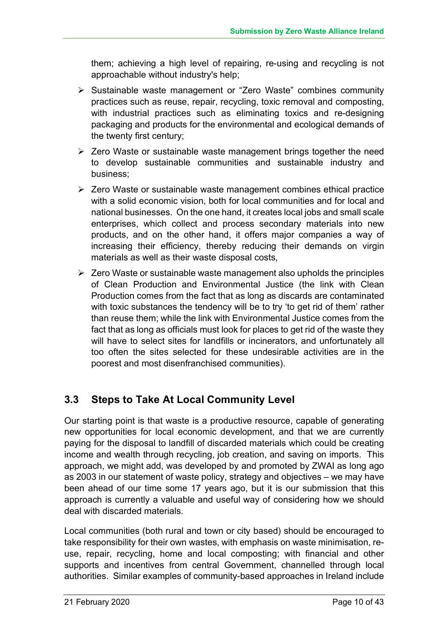them; achieving a high level of repairing, re-using and recycling is not approachable without industry's help;

- Ø Sustainable waste management or "Zero Waste" combines community practices such as reuse, repair, recycling, toxic removal and composting, with industrial practices such as eliminating toxics and re-designing packaging and products for the environmental and ecological demands of the twenty first century;
- $\triangleright$  Zero Waste or sustainable waste management brings together the need to develop sustainable communities and sustainable industry and business;
- $\triangleright$  Zero Waste or sustainable waste management combines ethical practice with a solid economic vision, both for local communities and for local and national businesses. On the one hand, it creates local jobs and small scale enterprises, which collect and process secondary materials into new products, and on the other hand, it offers major companies a way of increasing their efficiency, thereby reducing their demands on virgin materials as well as their waste disposal costs,
- $\triangleright$  Zero Waste or sustainable waste management also upholds the principles of Clean Production and Environmental Justice (the link with Clean Production comes from the fact that as long as discards are contaminated with toxic substances the tendency will be to try 'to get rid of them' rather than reuse them; while the link with Environmental Justice comes from the fact that as long as officials must look for places to get rid of the waste they will have to select sites for landfills or incinerators, and unfortunately all too often the sites selected for these undesirable activities are in the poorest and most disenfranchised communities).

# **3.3 Steps to Take At Local Community Level**

Our starting point is that waste is a productive resource, capable of generating new opportunities for local economic development, and that we are currently paying for the disposal to landfill of discarded materials which could be creating income and wealth through recycling, job creation, and saving on imports. This approach, we might add, was developed by and promoted by ZWAI as long ago as 2003 in our statement of waste policy, strategy and objectives – we may have been ahead of our time some 17 years ago, but it is our submission that this approach is currently a valuable and useful way of considering how we should deal with discarded materials.

Local communities (both rural and town or city based) should be encouraged to take responsibility for their own wastes, with emphasis on waste minimisation, reuse, repair, recycling, home and local composting; with financial and other supports and incentives from central Government, channelled through local authorities. Similar examples of community-based approaches in Ireland include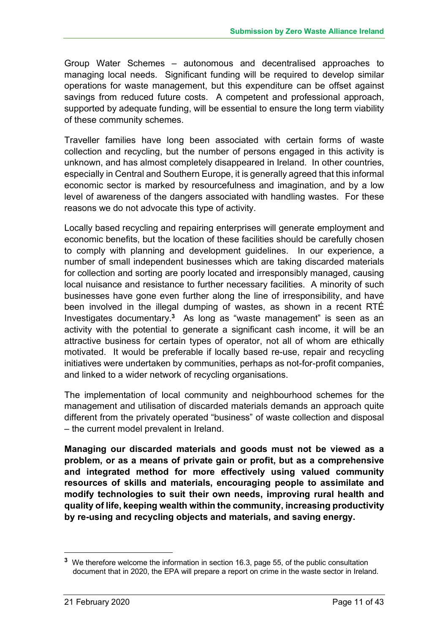Group Water Schemes – autonomous and decentralised approaches to managing local needs. Significant funding will be required to develop similar operations for waste management, but this expenditure can be offset against savings from reduced future costs. A competent and professional approach, supported by adequate funding, will be essential to ensure the long term viability of these community schemes.

Traveller families have long been associated with certain forms of waste collection and recycling, but the number of persons engaged in this activity is unknown, and has almost completely disappeared in Ireland. In other countries, especially in Central and Southern Europe, it is generally agreed that this informal economic sector is marked by resourcefulness and imagination, and by a low level of awareness of the dangers associated with handling wastes. For these reasons we do not advocate this type of activity.

Locally based recycling and repairing enterprises will generate employment and economic benefits, but the location of these facilities should be carefully chosen to comply with planning and development guidelines. In our experience, a number of small independent businesses which are taking discarded materials for collection and sorting are poorly located and irresponsibly managed, causing local nuisance and resistance to further necessary facilities. A minority of such businesses have gone even further along the line of irresponsibility, and have been involved in the illegal dumping of wastes, as shown in a recent RTÉ Investigates documentary. **<sup>3</sup>** As long as "waste management" is seen as an activity with the potential to generate a significant cash income, it will be an attractive business for certain types of operator, not all of whom are ethically motivated. It would be preferable if locally based re-use, repair and recycling initiatives were undertaken by communities, perhaps as not-for-profit companies, and linked to a wider network of recycling organisations.

The implementation of local community and neighbourhood schemes for the management and utilisation of discarded materials demands an approach quite different from the privately operated "business" of waste collection and disposal – the current model prevalent in Ireland.

**Managing our discarded materials and goods must not be viewed as a problem, or as a means of private gain or profit, but as a comprehensive and integrated method for more effectively using valued community resources of skills and materials, encouraging people to assimilate and modify technologies to suit their own needs, improving rural health and quality of life, keeping wealth within the community, increasing productivity by re-using and recycling objects and materials, and saving energy.**

1

**<sup>3</sup>** We therefore welcome the information in section 16.3, page 55, of the public consultation document that in 2020, the EPA will prepare a report on crime in the waste sector in Ireland.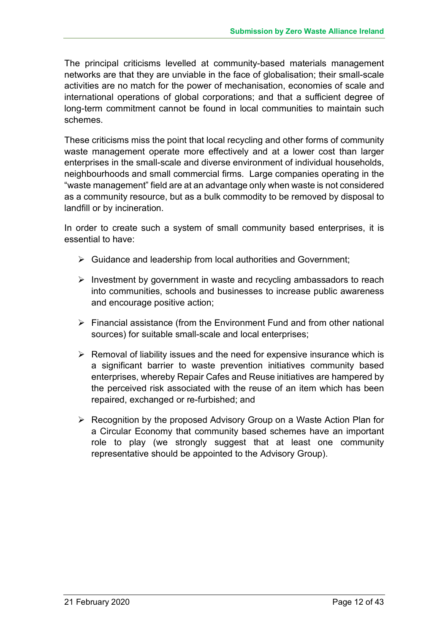The principal criticisms levelled at community-based materials management networks are that they are unviable in the face of globalisation; their small-scale activities are no match for the power of mechanisation, economies of scale and international operations of global corporations; and that a sufficient degree of long-term commitment cannot be found in local communities to maintain such schemes.

These criticisms miss the point that local recycling and other forms of community waste management operate more effectively and at a lower cost than larger enterprises in the small-scale and diverse environment of individual households, neighbourhoods and small commercial firms. Large companies operating in the "waste management" field are at an advantage only when waste is not considered as a community resource, but as a bulk commodity to be removed by disposal to landfill or by incineration.

In order to create such a system of small community based enterprises, it is essential to have:

- $\triangleright$  Guidance and leadership from local authorities and Government:
- $\triangleright$  Investment by government in waste and recycling ambassadors to reach into communities, schools and businesses to increase public awareness and encourage positive action;
- $\triangleright$  Financial assistance (from the Environment Fund and from other national sources) for suitable small-scale and local enterprises;
- $\triangleright$  Removal of liability issues and the need for expensive insurance which is a significant barrier to waste prevention initiatives community based enterprises, whereby Repair Cafes and Reuse initiatives are hampered by the perceived risk associated with the reuse of an item which has been repaired, exchanged or re-furbished; and
- $\triangleright$  Recognition by the proposed Advisory Group on a Waste Action Plan for a Circular Economy that community based schemes have an important role to play (we strongly suggest that at least one community representative should be appointed to the Advisory Group).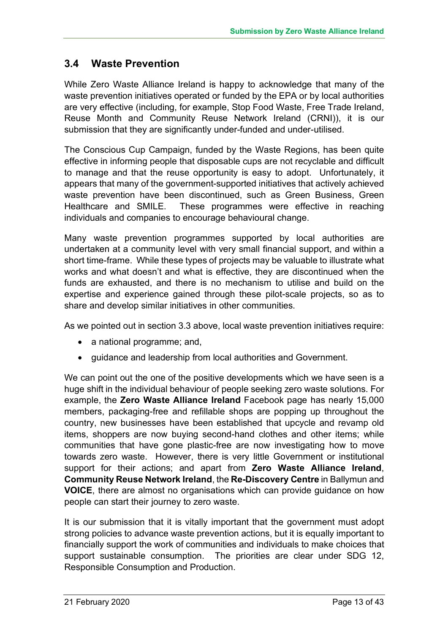# **3.4 Waste Prevention**

While Zero Waste Alliance Ireland is happy to acknowledge that many of the waste prevention initiatives operated or funded by the EPA or by local authorities are very effective (including, for example, Stop Food Waste, Free Trade Ireland, Reuse Month and Community Reuse Network Ireland (CRNI)), it is our submission that they are significantly under-funded and under-utilised.

The Conscious Cup Campaign, funded by the Waste Regions, has been quite effective in informing people that disposable cups are not recyclable and difficult to manage and that the reuse opportunity is easy to adopt. Unfortunately, it appears that many of the government-supported initiatives that actively achieved waste prevention have been discontinued, such as Green Business, Green Healthcare and SMILE. These programmes were effective in reaching individuals and companies to encourage behavioural change.

Many waste prevention programmes supported by local authorities are undertaken at a community level with very small financial support, and within a short time-frame. While these types of projects may be valuable to illustrate what works and what doesn't and what is effective, they are discontinued when the funds are exhausted, and there is no mechanism to utilise and build on the expertise and experience gained through these pilot-scale projects, so as to share and develop similar initiatives in other communities.

As we pointed out in section 3.3 above, local waste prevention initiatives require:

- a national programme; and,
- guidance and leadership from local authorities and Government.

We can point out the one of the positive developments which we have seen is a huge shift in the individual behaviour of people seeking zero waste solutions. For example, the **Zero Waste Alliance Ireland** Facebook page has nearly 15,000 members, packaging-free and refillable shops are popping up throughout the country, new businesses have been established that upcycle and revamp old items, shoppers are now buying second-hand clothes and other items; while communities that have gone plastic-free are now investigating how to move towards zero waste. However, there is very little Government or institutional support for their actions; and apart from **Zero Waste Alliance Ireland**, **Community Reuse Network Ireland**, the **Re-Discovery Centre** in Ballymun and **VOICE**, there are almost no organisations which can provide guidance on how people can start their journey to zero waste.

It is our submission that it is vitally important that the government must adopt strong policies to advance waste prevention actions, but it is equally important to financially support the work of communities and individuals to make choices that support sustainable consumption. The priorities are clear under SDG 12, Responsible Consumption and Production.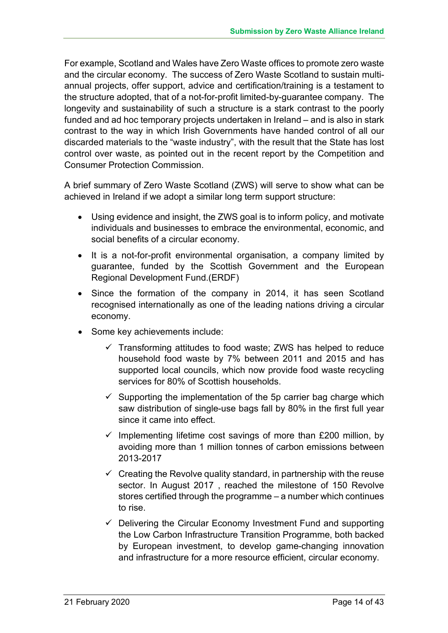For example, Scotland and Wales have Zero Waste offices to promote zero waste and the circular economy. The success of Zero Waste Scotland to sustain multiannual projects, offer support, advice and certification/training is a testament to the structure adopted, that of a not-for-profit limited-by-guarantee company. The longevity and sustainability of such a structure is a stark contrast to the poorly funded and ad hoc temporary projects undertaken in Ireland – and is also in stark contrast to the way in which Irish Governments have handed control of all our discarded materials to the "waste industry", with the result that the State has lost control over waste, as pointed out in the recent report by the Competition and Consumer Protection Commission.

A brief summary of Zero Waste Scotland (ZWS) will serve to show what can be achieved in Ireland if we adopt a similar long term support structure:

- Using evidence and insight, the ZWS goal is to inform policy, and motivate individuals and businesses to embrace the environmental, economic, and social benefits of a circular economy.
- It is a not-for-profit environmental organisation, a company limited by guarantee, funded by the Scottish Government and the European Regional Development Fund.(ERDF)
- Since the formation of the company in 2014, it has seen Scotland recognised internationally as one of the leading nations driving a circular economy.
- Some key achievements include:
	- $\checkmark$  Transforming attitudes to food waste; ZWS has helped to reduce household food waste by 7% between 2011 and 2015 and has supported local councils, which now provide food waste recycling services for 80% of Scottish households.
	- $\checkmark$  Supporting the implementation of the 5p carrier bag charge which saw distribution of single-use bags fall by 80% in the first full year since it came into effect.
	- $\checkmark$  Implementing lifetime cost savings of more than £200 million, by avoiding more than 1 million tonnes of carbon emissions between 2013-2017
	- $\checkmark$  Creating the Revolve quality standard, in partnership with the reuse sector. In August 2017 , reached the milestone of 150 Revolve stores certified through the programme – a number which continues to rise.
	- $\checkmark$  Delivering the Circular Economy Investment Fund and supporting the Low Carbon Infrastructure Transition Programme, both backed by European investment, to develop game-changing innovation and infrastructure for a more resource efficient, circular economy.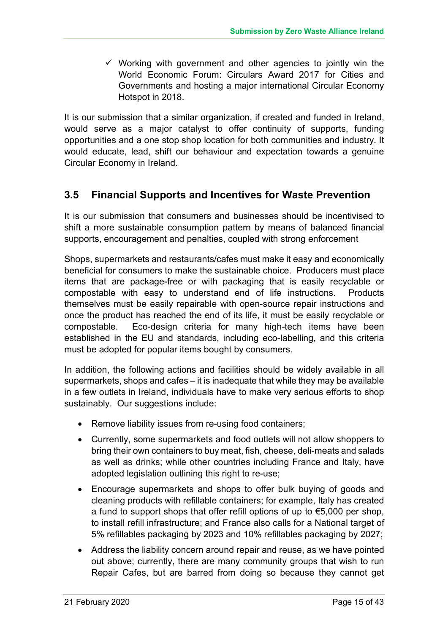$\checkmark$  Working with government and other agencies to jointly win the World Economic Forum: Circulars Award 2017 for Cities and Governments and hosting a major international Circular Economy Hotspot in 2018.

It is our submission that a similar organization, if created and funded in Ireland, would serve as a major catalyst to offer continuity of supports, funding opportunities and a one stop shop location for both communities and industry. It would educate, lead, shift our behaviour and expectation towards a genuine Circular Economy in Ireland.

## **3.5 Financial Supports and Incentives for Waste Prevention**

It is our submission that consumers and businesses should be incentivised to shift a more sustainable consumption pattern by means of balanced financial supports, encouragement and penalties, coupled with strong enforcement

Shops, supermarkets and restaurants/cafes must make it easy and economically beneficial for consumers to make the sustainable choice. Producers must place items that are package-free or with packaging that is easily recyclable or compostable with easy to understand end of life instructions. Products themselves must be easily repairable with open-source repair instructions and once the product has reached the end of its life, it must be easily recyclable or compostable. Eco-design criteria for many high-tech items have been established in the EU and standards, including eco-labelling, and this criteria must be adopted for popular items bought by consumers.

In addition, the following actions and facilities should be widely available in all supermarkets, shops and cafes – it is inadequate that while they may be available in a few outlets in Ireland, individuals have to make very serious efforts to shop sustainably. Our suggestions include:

- Remove liability issues from re-using food containers;
- Currently, some supermarkets and food outlets will not allow shoppers to bring their own containers to buy meat, fish, cheese, deli-meats and salads as well as drinks; while other countries including France and Italy, have adopted legislation outlining this right to re-use;
- Encourage supermarkets and shops to offer bulk buying of goods and cleaning products with refillable containers; for example, Italy has created a fund to support shops that offer refill options of up to  $\epsilon$ 5,000 per shop, to install refill infrastructure; and France also calls for a National target of 5% refillables packaging by 2023 and 10% refillables packaging by 2027;
- Address the liability concern around repair and reuse, as we have pointed out above; currently, there are many community groups that wish to run Repair Cafes, but are barred from doing so because they cannot get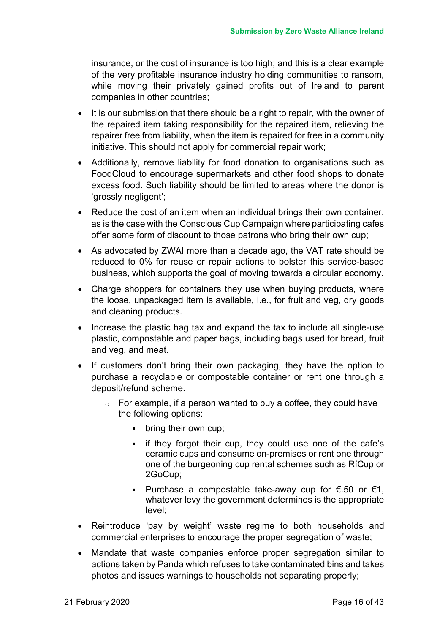insurance, or the cost of insurance is too high; and this is a clear example of the very profitable insurance industry holding communities to ransom, while moving their privately gained profits out of Ireland to parent companies in other countries;

- It is our submission that there should be a right to repair, with the owner of the repaired item taking responsibility for the repaired item, relieving the repairer free from liability, when the item is repaired for free in a community initiative. This should not apply for commercial repair work;
- Additionally, remove liability for food donation to organisations such as FoodCloud to encourage supermarkets and other food shops to donate excess food. Such liability should be limited to areas where the donor is 'grossly negligent';
- Reduce the cost of an item when an individual brings their own container, as is the case with the Conscious Cup Campaign where participating cafes offer some form of discount to those patrons who bring their own cup;
- As advocated by ZWAI more than a decade ago, the VAT rate should be reduced to 0% for reuse or repair actions to bolster this service-based business, which supports the goal of moving towards a circular economy.
- Charge shoppers for containers they use when buying products, where the loose, unpackaged item is available, i.e., for fruit and veg, dry goods and cleaning products.
- Increase the plastic bag tax and expand the tax to include all single-use plastic, compostable and paper bags, including bags used for bread, fruit and veg, and meat.
- If customers don't bring their own packaging, they have the option to purchase a recyclable or compostable container or rent one through a deposit/refund scheme.
	- $\circ$  For example, if a person wanted to buy a coffee, they could have the following options:
		- bring their own cup;
		- if they forgot their cup, they could use one of the cafe's ceramic cups and consume on-premises or rent one through one of the burgeoning cup rental schemes such as RíCup or 2GoCup;
		- Purchase a compostable take-away cup for  $\epsilon$ .50 or  $\epsilon$ 1, whatever levy the government determines is the appropriate level;
- Reintroduce 'pay by weight' waste regime to both households and commercial enterprises to encourage the proper segregation of waste;
- Mandate that waste companies enforce proper segregation similar to actions taken by Panda which refuses to take contaminated bins and takes photos and issues warnings to households not separating properly;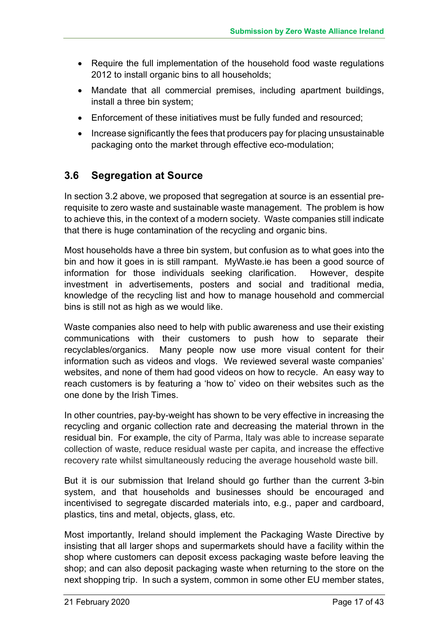- Require the full implementation of the household food waste regulations 2012 to install organic bins to all households;
- Mandate that all commercial premises, including apartment buildings, install a three bin system;
- Enforcement of these initiatives must be fully funded and resourced;
- Increase significantly the fees that producers pay for placing unsustainable packaging onto the market through effective eco-modulation;

# **3.6 Segregation at Source**

In section 3.2 above, we proposed that segregation at source is an essential prerequisite to zero waste and sustainable waste management. The problem is how to achieve this, in the context of a modern society. Waste companies still indicate that there is huge contamination of the recycling and organic bins.

Most households have a three bin system, but confusion as to what goes into the bin and how it goes in is still rampant. MyWaste.ie has been a good source of information for those individuals seeking clarification. However, despite investment in advertisements, posters and social and traditional media, knowledge of the recycling list and how to manage household and commercial bins is still not as high as we would like.

Waste companies also need to help with public awareness and use their existing communications with their customers to push how to separate their recyclables/organics. Many people now use more visual content for their information such as videos and vlogs. We reviewed several waste companies' websites, and none of them had good videos on how to recycle. An easy way to reach customers is by featuring a 'how to' video on their websites such as the one done by the Irish Times.

In other countries, pay-by-weight has shown to be very effective in increasing the recycling and organic collection rate and decreasing the material thrown in the residual bin. For example, the city of Parma, Italy was able to increase separate collection of waste, reduce residual waste per capita, and increase the effective recovery rate whilst simultaneously reducing the average household waste bill.

But it is our submission that Ireland should go further than the current 3-bin system, and that households and businesses should be encouraged and incentivised to segregate discarded materials into, e.g., paper and cardboard, plastics, tins and metal, objects, glass, etc.

Most importantly, Ireland should implement the Packaging Waste Directive by insisting that all larger shops and supermarkets should have a facility within the shop where customers can deposit excess packaging waste before leaving the shop; and can also deposit packaging waste when returning to the store on the next shopping trip. In such a system, common in some other EU member states,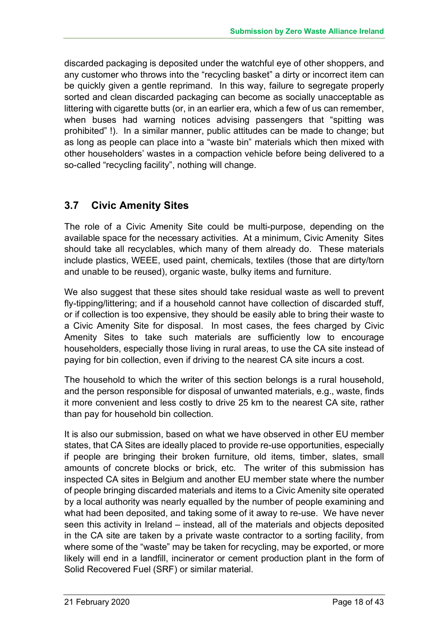discarded packaging is deposited under the watchful eye of other shoppers, and any customer who throws into the "recycling basket" a dirty or incorrect item can be quickly given a gentle reprimand. In this way, failure to segregate properly sorted and clean discarded packaging can become as socially unacceptable as littering with cigarette butts (or, in an earlier era, which a few of us can remember, when buses had warning notices advising passengers that "spitting was prohibited" !). In a similar manner, public attitudes can be made to change; but as long as people can place into a "waste bin" materials which then mixed with other householders' wastes in a compaction vehicle before being delivered to a so-called "recycling facility", nothing will change.

## **3.7 Civic Amenity Sites**

The role of a Civic Amenity Site could be multi-purpose, depending on the available space for the necessary activities. At a minimum, Civic Amenity Sites should take all recyclables, which many of them already do. These materials include plastics, WEEE, used paint, chemicals, textiles (those that are dirty/torn and unable to be reused), organic waste, bulky items and furniture.

We also suggest that these sites should take residual waste as well to prevent fly-tipping/littering; and if a household cannot have collection of discarded stuff, or if collection is too expensive, they should be easily able to bring their waste to a Civic Amenity Site for disposal. In most cases, the fees charged by Civic Amenity Sites to take such materials are sufficiently low to encourage householders, especially those living in rural areas, to use the CA site instead of paying for bin collection, even if driving to the nearest CA site incurs a cost.

The household to which the writer of this section belongs is a rural household, and the person responsible for disposal of unwanted materials, e.g., waste, finds it more convenient and less costly to drive 25 km to the nearest CA site, rather than pay for household bin collection.

It is also our submission, based on what we have observed in other EU member states, that CA Sites are ideally placed to provide re-use opportunities, especially if people are bringing their broken furniture, old items, timber, slates, small amounts of concrete blocks or brick, etc. The writer of this submission has inspected CA sites in Belgium and another EU member state where the number of people bringing discarded materials and items to a Civic Amenity site operated by a local authority was nearly equalled by the number of people examining and what had been deposited, and taking some of it away to re-use. We have never seen this activity in Ireland – instead, all of the materials and objects deposited in the CA site are taken by a private waste contractor to a sorting facility, from where some of the "waste" may be taken for recycling, may be exported, or more likely will end in a landfill, incinerator or cement production plant in the form of Solid Recovered Fuel (SRF) or similar material.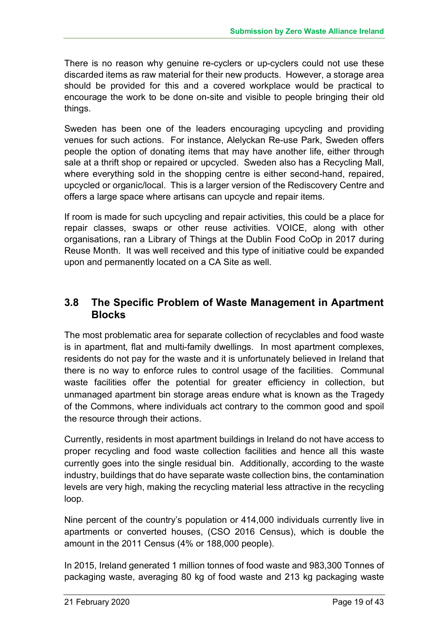There is no reason why genuine re-cyclers or up-cyclers could not use these discarded items as raw material for their new products. However, a storage area should be provided for this and a covered workplace would be practical to encourage the work to be done on-site and visible to people bringing their old things.

Sweden has been one of the leaders encouraging upcycling and providing venues for such actions. For instance, Alelyckan Re-use Park, Sweden offers people the option of donating items that may have another life, either through sale at a thrift shop or repaired or upcycled. Sweden also has a Recycling Mall, where everything sold in the shopping centre is either second-hand, repaired, upcycled or organic/local. This is a larger version of the Rediscovery Centre and offers a large space where artisans can upcycle and repair items.

If room is made for such upcycling and repair activities, this could be a place for repair classes, swaps or other reuse activities. VOICE, along with other organisations, ran a Library of Things at the Dublin Food CoOp in 2017 during Reuse Month. It was well received and this type of initiative could be expanded upon and permanently located on a CA Site as well.

# **3.8 The Specific Problem of Waste Management in Apartment Blocks**

The most problematic area for separate collection of recyclables and food waste is in apartment, flat and multi-family dwellings. In most apartment complexes, residents do not pay for the waste and it is unfortunately believed in Ireland that there is no way to enforce rules to control usage of the facilities. Communal waste facilities offer the potential for greater efficiency in collection, but unmanaged apartment bin storage areas endure what is known as the Tragedy of the Commons, where individuals act contrary to the common good and spoil the resource through their actions.

Currently, residents in most apartment buildings in Ireland do not have access to proper recycling and food waste collection facilities and hence all this waste currently goes into the single residual bin. Additionally, according to the waste industry, buildings that do have separate waste collection bins, the contamination levels are very high, making the recycling material less attractive in the recycling loop.

Nine percent of the country's population or 414,000 individuals currently live in apartments or converted houses, (CSO 2016 Census), which is double the amount in the 2011 Census (4% or 188,000 people).

In 2015, Ireland generated 1 million tonnes of food waste and 983,300 Tonnes of packaging waste, averaging 80 kg of food waste and 213 kg packaging waste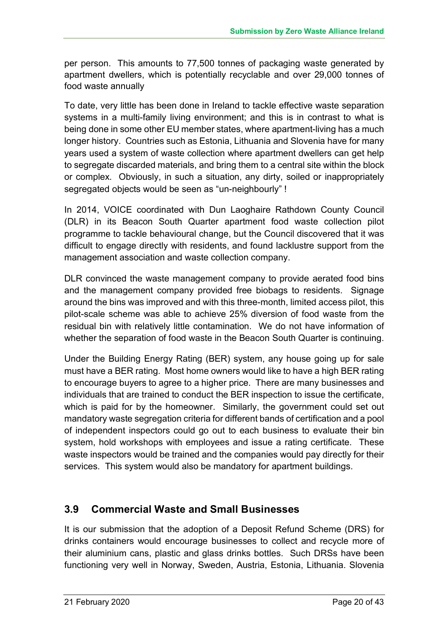per person. This amounts to 77,500 tonnes of packaging waste generated by apartment dwellers, which is potentially recyclable and over 29,000 tonnes of food waste annually

To date, very little has been done in Ireland to tackle effective waste separation systems in a multi-family living environment; and this is in contrast to what is being done in some other EU member states, where apartment-living has a much longer history. Countries such as Estonia, Lithuania and Slovenia have for many years used a system of waste collection where apartment dwellers can get help to segregate discarded materials, and bring them to a central site within the block or complex. Obviously, in such a situation, any dirty, soiled or inappropriately segregated objects would be seen as "un-neighbourly" !

In 2014, VOICE coordinated with Dun Laoghaire Rathdown County Council (DLR) in its Beacon South Quarter apartment food waste collection pilot programme to tackle behavioural change, but the Council discovered that it was difficult to engage directly with residents, and found lacklustre support from the management association and waste collection company.

DLR convinced the waste management company to provide aerated food bins and the management company provided free biobags to residents. Signage around the bins was improved and with this three-month, limited access pilot, this pilot-scale scheme was able to achieve 25% diversion of food waste from the residual bin with relatively little contamination. We do not have information of whether the separation of food waste in the Beacon South Quarter is continuing.

Under the Building Energy Rating (BER) system, any house going up for sale must have a BER rating. Most home owners would like to have a high BER rating to encourage buyers to agree to a higher price. There are many businesses and individuals that are trained to conduct the BER inspection to issue the certificate, which is paid for by the homeowner. Similarly, the government could set out mandatory waste segregation criteria for different bands of certification and a pool of independent inspectors could go out to each business to evaluate their bin system, hold workshops with employees and issue a rating certificate. These waste inspectors would be trained and the companies would pay directly for their services. This system would also be mandatory for apartment buildings.

# **3.9 Commercial Waste and Small Businesses**

It is our submission that the adoption of a Deposit Refund Scheme (DRS) for drinks containers would encourage businesses to collect and recycle more of their aluminium cans, plastic and glass drinks bottles. Such DRSs have been functioning very well in Norway, Sweden, Austria, Estonia, Lithuania. Slovenia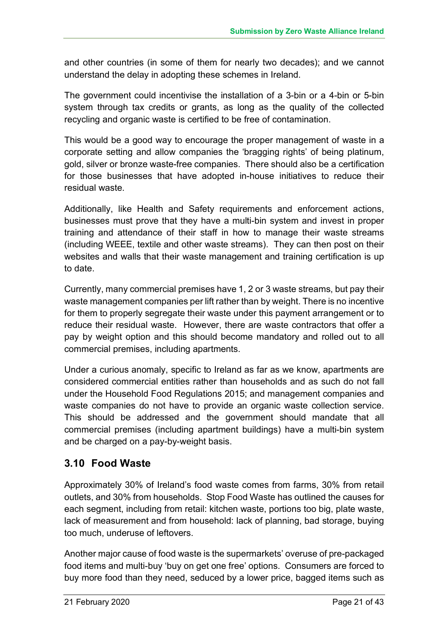and other countries (in some of them for nearly two decades); and we cannot understand the delay in adopting these schemes in Ireland.

The government could incentivise the installation of a 3-bin or a 4-bin or 5-bin system through tax credits or grants, as long as the quality of the collected recycling and organic waste is certified to be free of contamination.

This would be a good way to encourage the proper management of waste in a corporate setting and allow companies the 'bragging rights' of being platinum, gold, silver or bronze waste-free companies. There should also be a certification for those businesses that have adopted in-house initiatives to reduce their residual waste.

Additionally, like Health and Safety requirements and enforcement actions, businesses must prove that they have a multi-bin system and invest in proper training and attendance of their staff in how to manage their waste streams (including WEEE, textile and other waste streams). They can then post on their websites and walls that their waste management and training certification is up to date.

Currently, many commercial premises have 1, 2 or 3 waste streams, but pay their waste management companies per lift rather than by weight. There is no incentive for them to properly segregate their waste under this payment arrangement or to reduce their residual waste. However, there are waste contractors that offer a pay by weight option and this should become mandatory and rolled out to all commercial premises, including apartments.

Under a curious anomaly, specific to Ireland as far as we know, apartments are considered commercial entities rather than households and as such do not fall under the Household Food Regulations 2015; and management companies and waste companies do not have to provide an organic waste collection service. This should be addressed and the government should mandate that all commercial premises (including apartment buildings) have a multi-bin system and be charged on a pay-by-weight basis.

# **3.10 Food Waste**

Approximately 30% of Ireland's food waste comes from farms, 30% from retail outlets, and 30% from households. Stop Food Waste has outlined the causes for each segment, including from retail: kitchen waste, portions too big, plate waste, lack of measurement and from household: lack of planning, bad storage, buying too much, underuse of leftovers.

Another major cause of food waste is the supermarkets' overuse of pre-packaged food items and multi-buy 'buy on get one free' options. Consumers are forced to buy more food than they need, seduced by a lower price, bagged items such as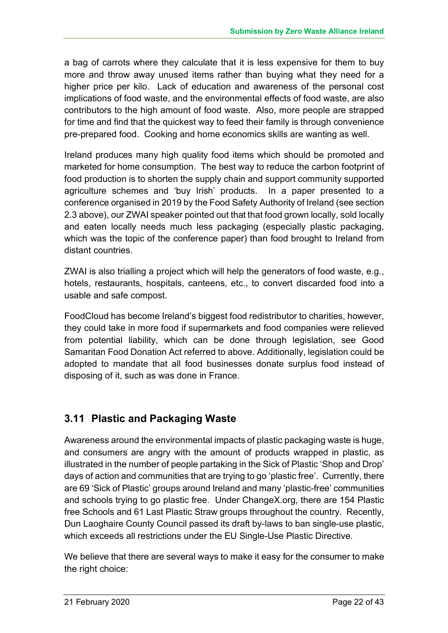a bag of carrots where they calculate that it is less expensive for them to buy more and throw away unused items rather than buying what they need for a higher price per kilo. Lack of education and awareness of the personal cost implications of food waste, and the environmental effects of food waste, are also contributors to the high amount of food waste. Also, more people are strapped for time and find that the quickest way to feed their family is through convenience pre-prepared food. Cooking and home economics skills are wanting as well.

Ireland produces many high quality food items which should be promoted and marketed for home consumption. The best way to reduce the carbon footprint of food production is to shorten the supply chain and support community supported agriculture schemes and 'buy Irish' products. In a paper presented to a conference organised in 2019 by the Food Safety Authority of Ireland (see section 2.3 above), our ZWAI speaker pointed out that that food grown locally, sold locally and eaten locally needs much less packaging (especially plastic packaging, which was the topic of the conference paper) than food brought to Ireland from distant countries.

ZWAI is also trialling a project which will help the generators of food waste, e.g., hotels, restaurants, hospitals, canteens, etc., to convert discarded food into a usable and safe compost.

FoodCloud has become Ireland's biggest food redistributor to charities, however, they could take in more food if supermarkets and food companies were relieved from potential liability, which can be done through legislation, see Good Samaritan Food Donation Act referred to above. Additionally, legislation could be adopted to mandate that all food businesses donate surplus food instead of disposing of it, such as was done in France.

# **3.11 Plastic and Packaging Waste**

Awareness around the environmental impacts of plastic packaging waste is huge, and consumers are angry with the amount of products wrapped in plastic, as illustrated in the number of people partaking in the Sick of Plastic 'Shop and Drop' days of action and communities that are trying to go 'plastic free'. Currently, there are 69 'Sick of Plastic' groups around Ireland and many 'plastic-free' communities and schools trying to go plastic free. Under ChangeX.org, there are 154 Plastic free Schools and 61 Last Plastic Straw groups throughout the country. Recently, Dun Laoghaire County Council passed its draft by-laws to ban single-use plastic, which exceeds all restrictions under the EU Single-Use Plastic Directive.

We believe that there are several ways to make it easy for the consumer to make the right choice: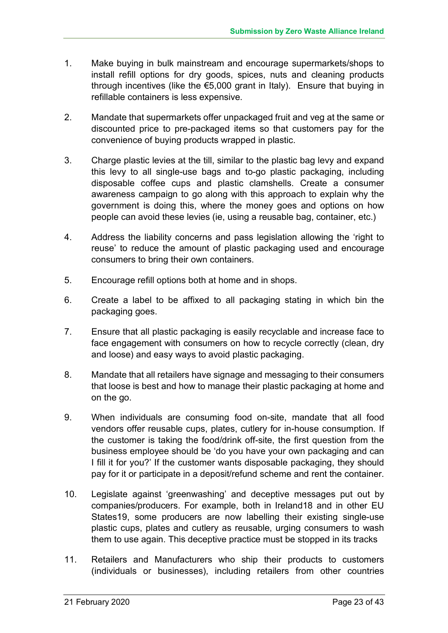- 1. Make buying in bulk mainstream and encourage supermarkets/shops to install refill options for dry goods, spices, nuts and cleaning products through incentives (like the €5,000 grant in Italy). Ensure that buying in refillable containers is less expensive.
- 2. Mandate that supermarkets offer unpackaged fruit and veg at the same or discounted price to pre-packaged items so that customers pay for the convenience of buying products wrapped in plastic.
- 3. Charge plastic levies at the till, similar to the plastic bag levy and expand this levy to all single-use bags and to-go plastic packaging, including disposable coffee cups and plastic clamshells. Create a consumer awareness campaign to go along with this approach to explain why the government is doing this, where the money goes and options on how people can avoid these levies (ie, using a reusable bag, container, etc.)
- 4. Address the liability concerns and pass legislation allowing the 'right to reuse' to reduce the amount of plastic packaging used and encourage consumers to bring their own containers.
- 5. Encourage refill options both at home and in shops.
- 6. Create a label to be affixed to all packaging stating in which bin the packaging goes.
- 7. Ensure that all plastic packaging is easily recyclable and increase face to face engagement with consumers on how to recycle correctly (clean, dry and loose) and easy ways to avoid plastic packaging.
- 8. Mandate that all retailers have signage and messaging to their consumers that loose is best and how to manage their plastic packaging at home and on the go.
- 9. When individuals are consuming food on-site, mandate that all food vendors offer reusable cups, plates, cutlery for in-house consumption. If the customer is taking the food/drink off-site, the first question from the business employee should be 'do you have your own packaging and can I fill it for you?' If the customer wants disposable packaging, they should pay for it or participate in a deposit/refund scheme and rent the container.
- 10. Legislate against 'greenwashing' and deceptive messages put out by companies/producers. For example, both in Ireland18 and in other EU States19, some producers are now labelling their existing single-use plastic cups, plates and cutlery as reusable, urging consumers to wash them to use again. This deceptive practice must be stopped in its tracks
- 11. Retailers and Manufacturers who ship their products to customers (individuals or businesses), including retailers from other countries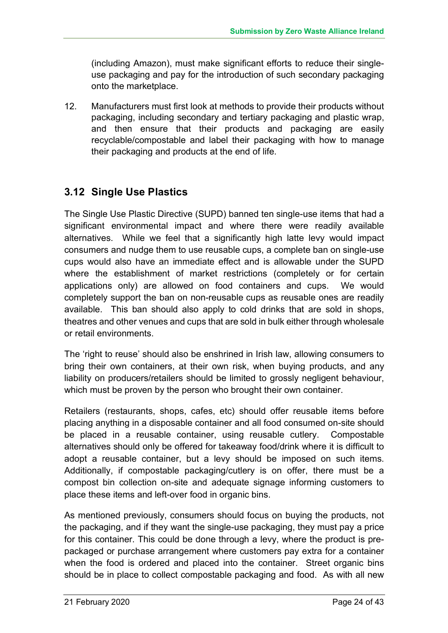(including Amazon), must make significant efforts to reduce their singleuse packaging and pay for the introduction of such secondary packaging onto the marketplace.

12. Manufacturers must first look at methods to provide their products without packaging, including secondary and tertiary packaging and plastic wrap, and then ensure that their products and packaging are easily recyclable/compostable and label their packaging with how to manage their packaging and products at the end of life.

# **3.12 Single Use Plastics**

The Single Use Plastic Directive (SUPD) banned ten single-use items that had a significant environmental impact and where there were readily available alternatives. While we feel that a significantly high latte levy would impact consumers and nudge them to use reusable cups, a complete ban on single-use cups would also have an immediate effect and is allowable under the SUPD where the establishment of market restrictions (completely or for certain applications only) are allowed on food containers and cups. We would completely support the ban on non-reusable cups as reusable ones are readily available. This ban should also apply to cold drinks that are sold in shops, theatres and other venues and cups that are sold in bulk either through wholesale or retail environments.

The 'right to reuse' should also be enshrined in Irish law, allowing consumers to bring their own containers, at their own risk, when buying products, and any liability on producers/retailers should be limited to grossly negligent behaviour, which must be proven by the person who brought their own container.

Retailers (restaurants, shops, cafes, etc) should offer reusable items before placing anything in a disposable container and all food consumed on-site should be placed in a reusable container, using reusable cutlery. Compostable alternatives should only be offered for takeaway food/drink where it is difficult to adopt a reusable container, but a levy should be imposed on such items. Additionally, if compostable packaging/cutlery is on offer, there must be a compost bin collection on-site and adequate signage informing customers to place these items and left-over food in organic bins.

As mentioned previously, consumers should focus on buying the products, not the packaging, and if they want the single-use packaging, they must pay a price for this container. This could be done through a levy, where the product is prepackaged or purchase arrangement where customers pay extra for a container when the food is ordered and placed into the container. Street organic bins should be in place to collect compostable packaging and food. As with all new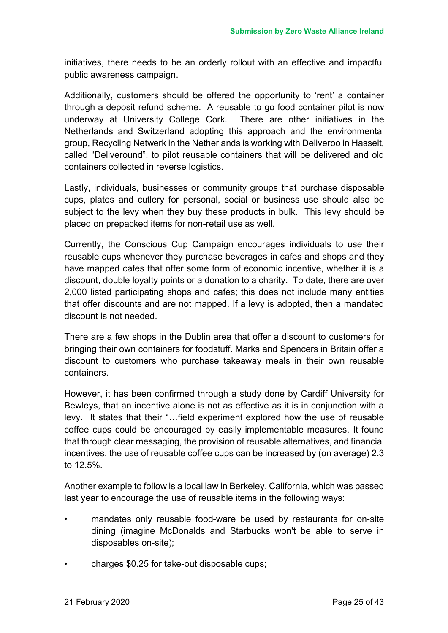initiatives, there needs to be an orderly rollout with an effective and impactful public awareness campaign.

Additionally, customers should be offered the opportunity to 'rent' a container through a deposit refund scheme. A reusable to go food container pilot is now underway at University College Cork. There are other initiatives in the Netherlands and Switzerland adopting this approach and the environmental group, Recycling Netwerk in the Netherlands is working with Deliveroo in Hasselt, called "Deliveround", to pilot reusable containers that will be delivered and old containers collected in reverse logistics.

Lastly, individuals, businesses or community groups that purchase disposable cups, plates and cutlery for personal, social or business use should also be subject to the levy when they buy these products in bulk. This levy should be placed on prepacked items for non-retail use as well.

Currently, the Conscious Cup Campaign encourages individuals to use their reusable cups whenever they purchase beverages in cafes and shops and they have mapped cafes that offer some form of economic incentive, whether it is a discount, double loyalty points or a donation to a charity. To date, there are over 2,000 listed participating shops and cafes; this does not include many entities that offer discounts and are not mapped. If a levy is adopted, then a mandated discount is not needed.

There are a few shops in the Dublin area that offer a discount to customers for bringing their own containers for foodstuff. Marks and Spencers in Britain offer a discount to customers who purchase takeaway meals in their own reusable containers.

However, it has been confirmed through a study done by Cardiff University for Bewleys, that an incentive alone is not as effective as it is in conjunction with a levy. It states that their "…field experiment explored how the use of reusable coffee cups could be encouraged by easily implementable measures. It found that through clear messaging, the provision of reusable alternatives, and financial incentives, the use of reusable coffee cups can be increased by (on average) 2.3 to 12.5%.

Another example to follow is a local law in Berkeley, California, which was passed last year to encourage the use of reusable items in the following ways:

- mandates only reusable food-ware be used by restaurants for on-site dining (imagine McDonalds and Starbucks won't be able to serve in disposables on-site);
- charges \$0.25 for take-out disposable cups;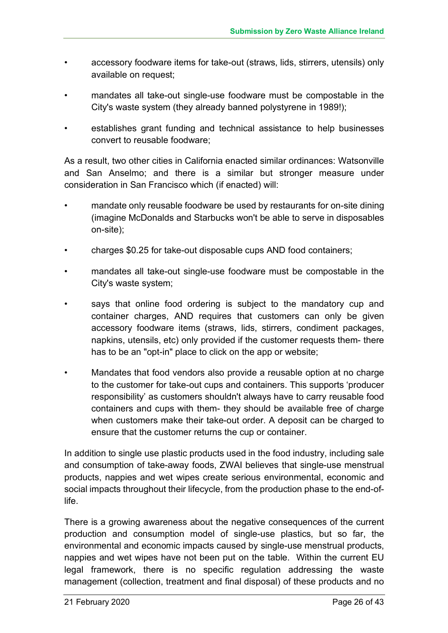- accessory foodware items for take-out (straws, lids, stirrers, utensils) only available on request;
- mandates all take-out single-use foodware must be compostable in the City's waste system (they already banned polystyrene in 1989!);
- establishes grant funding and technical assistance to help businesses convert to reusable foodware;

As a result, two other cities in California enacted similar ordinances: Watsonville and San Anselmo; and there is a similar but stronger measure under consideration in San Francisco which (if enacted) will:

- mandate only reusable foodware be used by restaurants for on-site dining (imagine McDonalds and Starbucks won't be able to serve in disposables on-site);
- charges \$0.25 for take-out disposable cups AND food containers;
- mandates all take-out single-use foodware must be compostable in the City's waste system;
- says that online food ordering is subject to the mandatory cup and container charges, AND requires that customers can only be given accessory foodware items (straws, lids, stirrers, condiment packages, napkins, utensils, etc) only provided if the customer requests them- there has to be an "opt-in" place to click on the app or website;
- Mandates that food vendors also provide a reusable option at no charge to the customer for take-out cups and containers. This supports 'producer responsibility' as customers shouldn't always have to carry reusable food containers and cups with them- they should be available free of charge when customers make their take-out order. A deposit can be charged to ensure that the customer returns the cup or container.

In addition to single use plastic products used in the food industry, including sale and consumption of take-away foods, ZWAI believes that single-use menstrual products, nappies and wet wipes create serious environmental, economic and social impacts throughout their lifecycle, from the production phase to the end-oflife.

There is a growing awareness about the negative consequences of the current production and consumption model of single-use plastics, but so far, the environmental and economic impacts caused by single-use menstrual products, nappies and wet wipes have not been put on the table. Within the current EU legal framework, there is no specific regulation addressing the waste management (collection, treatment and final disposal) of these products and no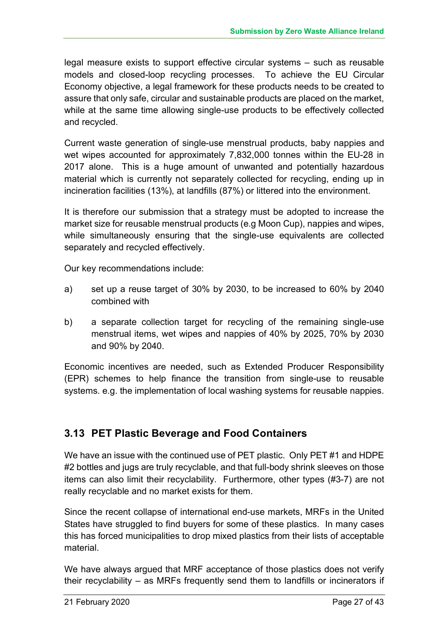legal measure exists to support effective circular systems – such as reusable models and closed-loop recycling processes. To achieve the EU Circular Economy objective, a legal framework for these products needs to be created to assure that only safe, circular and sustainable products are placed on the market, while at the same time allowing single-use products to be effectively collected and recycled.

Current waste generation of single-use menstrual products, baby nappies and wet wipes accounted for approximately 7,832,000 tonnes within the EU-28 in 2017 alone. This is a huge amount of unwanted and potentially hazardous material which is currently not separately collected for recycling, ending up in incineration facilities (13%), at landfills (87%) or littered into the environment.

It is therefore our submission that a strategy must be adopted to increase the market size for reusable menstrual products (e.g Moon Cup), nappies and wipes, while simultaneously ensuring that the single-use equivalents are collected separately and recycled effectively.

Our key recommendations include:

- a) set up a reuse target of 30% by 2030, to be increased to 60% by 2040 combined with
- b) a separate collection target for recycling of the remaining single-use menstrual items, wet wipes and nappies of 40% by 2025, 70% by 2030 and 90% by 2040.

Economic incentives are needed, such as Extended Producer Responsibility (EPR) schemes to help finance the transition from single-use to reusable systems. e.g. the implementation of local washing systems for reusable nappies.

# **3.13 PET Plastic Beverage and Food Containers**

We have an issue with the continued use of PET plastic. Only PET #1 and HDPE #2 bottles and jugs are truly recyclable, and that full-body shrink sleeves on those items can also limit their recyclability. Furthermore, other types (#3-7) are not really recyclable and no market exists for them.

Since the recent collapse of international end-use markets, MRFs in the United States have struggled to find buyers for some of these plastics. In many cases this has forced municipalities to drop mixed plastics from their lists of acceptable material.

We have always argued that MRF acceptance of those plastics does not verify their recyclability – as MRFs frequently send them to landfills or incinerators if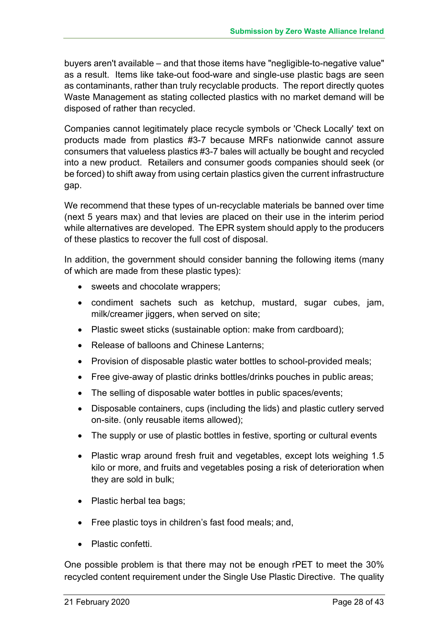buyers aren't available – and that those items have "negligible-to-negative value" as a result. Items like take-out food-ware and single-use plastic bags are seen as contaminants, rather than truly recyclable products. The report directly quotes Waste Management as stating collected plastics with no market demand will be disposed of rather than recycled.

Companies cannot legitimately place recycle symbols or 'Check Locally' text on products made from plastics #3-7 because MRFs nationwide cannot assure consumers that valueless plastics #3-7 bales will actually be bought and recycled into a new product. Retailers and consumer goods companies should seek (or be forced) to shift away from using certain plastics given the current infrastructure gap.

We recommend that these types of un-recyclable materials be banned over time (next 5 years max) and that levies are placed on their use in the interim period while alternatives are developed. The EPR system should apply to the producers of these plastics to recover the full cost of disposal.

In addition, the government should consider banning the following items (many of which are made from these plastic types):

- sweets and chocolate wrappers:
- condiment sachets such as ketchup, mustard, sugar cubes, jam, milk/creamer jiggers, when served on site;
- Plastic sweet sticks (sustainable option: make from cardboard);
- Release of balloons and Chinese Lanterns:
- Provision of disposable plastic water bottles to school-provided meals;
- Free give-away of plastic drinks bottles/drinks pouches in public areas;
- The selling of disposable water bottles in public spaces/events;
- Disposable containers, cups (including the lids) and plastic cutlery served on-site. (only reusable items allowed);
- The supply or use of plastic bottles in festive, sporting or cultural events
- Plastic wrap around fresh fruit and vegetables, except lots weighing 1.5 kilo or more, and fruits and vegetables posing a risk of deterioration when they are sold in bulk;
- Plastic herbal tea bags;
- Free plastic toys in children's fast food meals; and,
- Plastic confetti.

One possible problem is that there may not be enough rPET to meet the 30% recycled content requirement under the Single Use Plastic Directive. The quality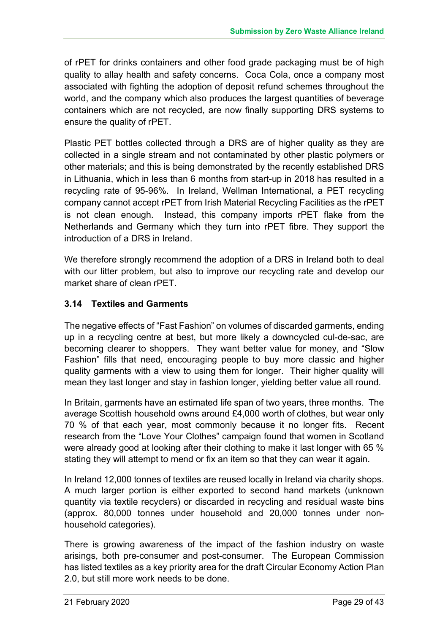of rPET for drinks containers and other food grade packaging must be of high quality to allay health and safety concerns. Coca Cola, once a company most associated with fighting the adoption of deposit refund schemes throughout the world, and the company which also produces the largest quantities of beverage containers which are not recycled, are now finally supporting DRS systems to ensure the quality of rPET.

Plastic PET bottles collected through a DRS are of higher quality as they are collected in a single stream and not contaminated by other plastic polymers or other materials; and this is being demonstrated by the recently established DRS in Lithuania, which in less than 6 months from start-up in 2018 has resulted in a recycling rate of 95-96%. In Ireland, Wellman International, a PET recycling company cannot accept rPET from Irish Material Recycling Facilities as the rPET is not clean enough. Instead, this company imports rPET flake from the Netherlands and Germany which they turn into rPET fibre. They support the introduction of a DRS in Ireland.

We therefore strongly recommend the adoption of a DRS in Ireland both to deal with our litter problem, but also to improve our recycling rate and develop our market share of clean rPET.

#### **3.14 Textiles and Garments**

The negative effects of "Fast Fashion" on volumes of discarded garments, ending up in a recycling centre at best, but more likely a downcycled cul-de-sac, are becoming clearer to shoppers. They want better value for money, and "Slow Fashion" fills that need, encouraging people to buy more classic and higher quality garments with a view to using them for longer. Their higher quality will mean they last longer and stay in fashion longer, yielding better value all round.

In Britain, garments have an estimated life span of two years, three months. The average Scottish household owns around £4,000 worth of clothes, but wear only 70 % of that each year, most commonly because it no longer fits. Recent research from the "Love Your Clothes" campaign found that women in Scotland were already good at looking after their clothing to make it last longer with 65 % stating they will attempt to mend or fix an item so that they can wear it again.

In Ireland 12,000 tonnes of textiles are reused locally in Ireland via charity shops. A much larger portion is either exported to second hand markets (unknown quantity via textile recyclers) or discarded in recycling and residual waste bins (approx. 80,000 tonnes under household and 20,000 tonnes under nonhousehold categories).

There is growing awareness of the impact of the fashion industry on waste arisings, both pre-consumer and post-consumer. The European Commission has listed textiles as a key priority area for the draft Circular Economy Action Plan 2.0, but still more work needs to be done.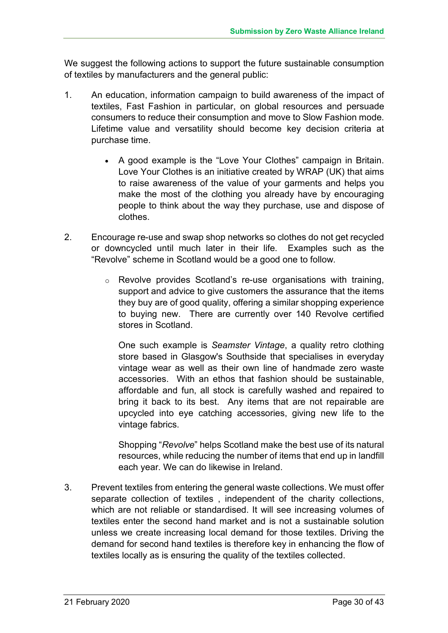We suggest the following actions to support the future sustainable consumption of textiles by manufacturers and the general public:

- 1. An education, information campaign to build awareness of the impact of textiles, Fast Fashion in particular, on global resources and persuade consumers to reduce their consumption and move to Slow Fashion mode. Lifetime value and versatility should become key decision criteria at purchase time.
	- A good example is the "Love Your Clothes" campaign in Britain. Love Your Clothes is an initiative created by WRAP (UK) that aims to raise awareness of the value of your garments and helps you make the most of the clothing you already have by encouraging people to think about the way they purchase, use and dispose of clothes.
- 2. Encourage re-use and swap shop networks so clothes do not get recycled or downcycled until much later in their life. Examples such as the "Revolve" scheme in Scotland would be a good one to follow*.*
	- o Revolve provides Scotland's re-use organisations with training, support and advice to give customers the assurance that the items they buy are of good quality, offering a similar shopping experience to buying new. There are currently over 140 Revolve certified stores in Scotland.

One such example is *Seamster Vintage*, a quality retro clothing store based in Glasgow's Southside that specialises in everyday vintage wear as well as their own line of handmade zero waste accessories. With an ethos that fashion should be sustainable, affordable and fun, all stock is carefully washed and repaired to bring it back to its best. Any items that are not repairable are upcycled into eye catching accessories, giving new life to the vintage fabrics.

Shopping "*Revolve*" helps Scotland make the best use of its natural resources, while reducing the number of items that end up in landfill each year. We can do likewise in Ireland.

3. Prevent textiles from entering the general waste collections. We must offer separate collection of textiles , independent of the charity collections, which are not reliable or standardised. It will see increasing volumes of textiles enter the second hand market and is not a sustainable solution unless we create increasing local demand for those textiles. Driving the demand for second hand textiles is therefore key in enhancing the flow of textiles locally as is ensuring the quality of the textiles collected.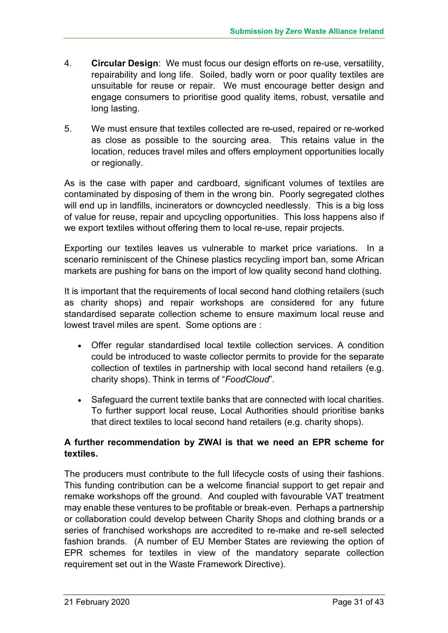- 4. **Circular Design**: We must focus our design efforts on re-use, versatility, repairability and long life. Soiled, badly worn or poor quality textiles are unsuitable for reuse or repair. We must encourage better design and engage consumers to prioritise good quality items, robust, versatile and long lasting.
- 5. We must ensure that textiles collected are re-used, repaired or re-worked as close as possible to the sourcing area. This retains value in the location, reduces travel miles and offers employment opportunities locally or regionally.

As is the case with paper and cardboard, significant volumes of textiles are contaminated by disposing of them in the wrong bin. Poorly segregated clothes will end up in landfills, incinerators or downcycled needlessly. This is a big loss of value for reuse, repair and upcycling opportunities. This loss happens also if we export textiles without offering them to local re-use, repair projects.

Exporting our textiles leaves us vulnerable to market price variations. In a scenario reminiscent of the Chinese plastics recycling import ban, some African markets are pushing for bans on the import of low quality second hand clothing.

It is important that the requirements of local second hand clothing retailers (such as charity shops) and repair workshops are considered for any future standardised separate collection scheme to ensure maximum local reuse and lowest travel miles are spent. Some options are :

- Offer regular standardised local textile collection services. A condition could be introduced to waste collector permits to provide for the separate collection of textiles in partnership with local second hand retailers (e.g. charity shops). Think in terms of "*FoodCloud*".
- Safeguard the current textile banks that are connected with local charities. To further support local reuse, Local Authorities should prioritise banks that direct textiles to local second hand retailers (e.g. charity shops).

#### **A further recommendation by ZWAI is that we need an EPR scheme for textiles.**

The producers must contribute to the full lifecycle costs of using their fashions. This funding contribution can be a welcome financial support to get repair and remake workshops off the ground. And coupled with favourable VAT treatment may enable these ventures to be profitable or break-even. Perhaps a partnership or collaboration could develop between Charity Shops and clothing brands or a series of franchised workshops are accredited to re-make and re-sell selected fashion brands. (A number of EU Member States are reviewing the option of EPR schemes for textiles in view of the mandatory separate collection requirement set out in the Waste Framework Directive).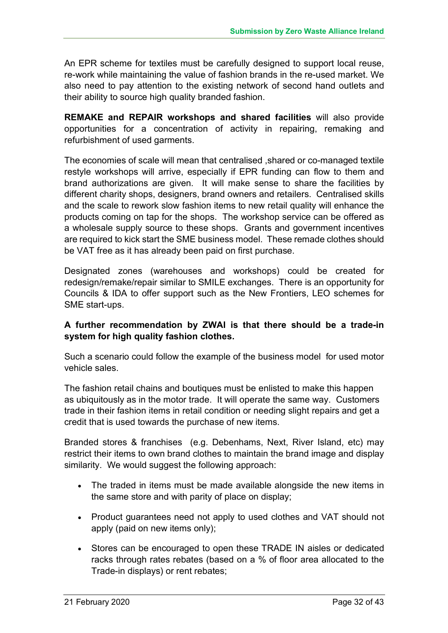An EPR scheme for textiles must be carefully designed to support local reuse, re-work while maintaining the value of fashion brands in the re-used market. We also need to pay attention to the existing network of second hand outlets and their ability to source high quality branded fashion.

**REMAKE and REPAIR workshops and shared facilities** will also provide opportunities for a concentration of activity in repairing, remaking and refurbishment of used garments.

The economies of scale will mean that centralised ,shared or co-managed textile restyle workshops will arrive, especially if EPR funding can flow to them and brand authorizations are given. It will make sense to share the facilities by different charity shops, designers, brand owners and retailers. Centralised skills and the scale to rework slow fashion items to new retail quality will enhance the products coming on tap for the shops. The workshop service can be offered as a wholesale supply source to these shops. Grants and government incentives are required to kick start the SME business model. These remade clothes should be VAT free as it has already been paid on first purchase.

Designated zones (warehouses and workshops) could be created for redesign/remake/repair similar to SMILE exchanges. There is an opportunity for Councils & IDA to offer support such as the New Frontiers, LEO schemes for SME start-ups.

#### **A further recommendation by ZWAI is that there should be a trade-in system for high quality fashion clothes.**

Such a scenario could follow the example of the business model for used motor vehicle sales.

The fashion retail chains and boutiques must be enlisted to make this happen as ubiquitously as in the motor trade. It will operate the same way. Customers trade in their fashion items in retail condition or needing slight repairs and get a credit that is used towards the purchase of new items.

Branded stores & franchises (e.g. Debenhams, Next, River Island, etc) may restrict their items to own brand clothes to maintain the brand image and display similarity. We would suggest the following approach:

- The traded in items must be made available alongside the new items in the same store and with parity of place on display;
- Product guarantees need not apply to used clothes and VAT should not apply (paid on new items only);
- Stores can be encouraged to open these TRADE IN aisles or dedicated racks through rates rebates (based on a % of floor area allocated to the Trade-in displays) or rent rebates;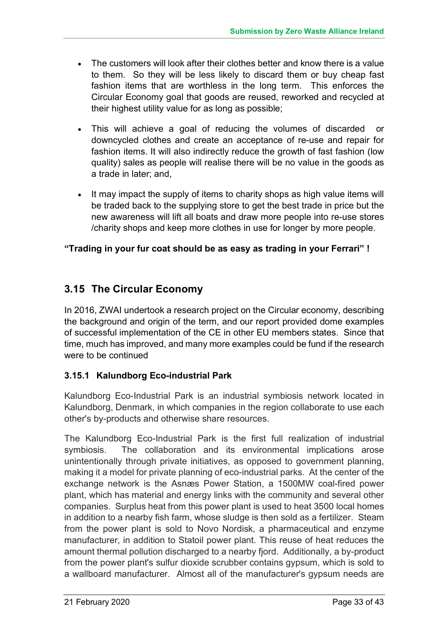- The customers will look after their clothes better and know there is a value to them. So they will be less likely to discard them or buy cheap fast fashion items that are worthless in the long term. This enforces the Circular Economy goal that goods are reused, reworked and recycled at their highest utility value for as long as possible;
- This will achieve a goal of reducing the volumes of discarded or downcycled clothes and create an acceptance of re-use and repair for fashion items. It will also indirectly reduce the growth of fast fashion (low quality) sales as people will realise there will be no value in the goods as a trade in later; and,
- It may impact the supply of items to charity shops as high value items will be traded back to the supplying store to get the best trade in price but the new awareness will lift all boats and draw more people into re-use stores /charity shops and keep more clothes in use for longer by more people.

#### **"Trading in your fur coat should be as easy as trading in your Ferrari" !**

# **3.15 The Circular Economy**

In 2016, ZWAI undertook a research project on the Circular economy, describing the background and origin of the term, and our report provided dome examples of successful implementation of the CE in other EU members states. Since that time, much has improved, and many more examples could be fund if the research were to be continued

#### **3.15.1 Kalundborg Eco-industrial Park**

Kalundborg Eco-Industrial Park is an industrial symbiosis network located in Kalundborg, Denmark, in which companies in the region collaborate to use each other's by-products and otherwise share resources.

The Kalundborg Eco-Industrial Park is the first full realization of industrial symbiosis. The collaboration and its environmental implications arose unintentionally through private initiatives, as opposed to government planning, making it a model for private planning of eco-industrial parks. At the center of the exchange network is the Asnæs Power Station, a 1500MW coal-fired power plant, which has material and energy links with the community and several other companies. Surplus heat from this power plant is used to heat 3500 local homes in addition to a nearby fish farm, whose sludge is then sold as a fertilizer. Steam from the power plant is sold to Novo Nordisk, a pharmaceutical and enzyme manufacturer, in addition to Statoil power plant. This reuse of heat reduces the amount thermal pollution discharged to a nearby fjord. Additionally, a by-product from the power plant's sulfur dioxide scrubber contains gypsum, which is sold to a wallboard manufacturer. Almost all of the manufacturer's gypsum needs are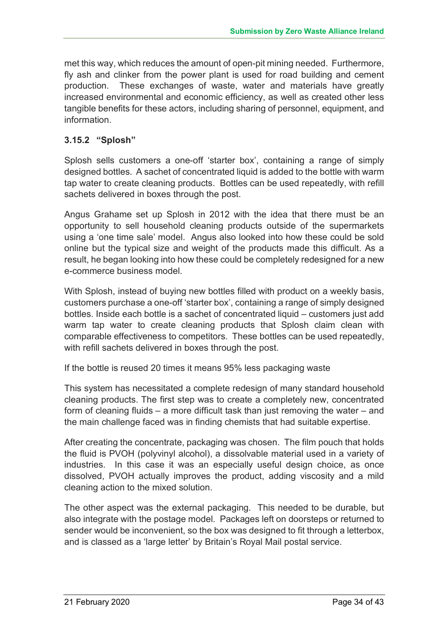met this way, which reduces the amount of open-pit mining needed. Furthermore, fly ash and clinker from the power plant is used for road building and cement production. These exchanges of waste, water and materials have greatly increased environmental and economic efficiency, as well as created other less tangible benefits for these actors, including sharing of personnel, equipment, and information.

#### **3.15.2 "Splosh"**

Splosh sells customers a one-off 'starter box', containing a range of simply designed bottles. A sachet of concentrated liquid is added to the bottle with warm tap water to create cleaning products. Bottles can be used repeatedly, with refill sachets delivered in boxes through the post.

Angus Grahame set up Splosh in 2012 with the idea that there must be an opportunity to sell household cleaning products outside of the supermarkets using a 'one time sale' model. Angus also looked into how these could be sold online but the typical size and weight of the products made this difficult. As a result, he began looking into how these could be completely redesigned for a new e-commerce business model.

With Splosh, instead of buying new bottles filled with product on a weekly basis, customers purchase a one-off 'starter box', containing a range of simply designed bottles. Inside each bottle is a sachet of concentrated liquid – customers just add warm tap water to create cleaning products that Splosh claim clean with comparable effectiveness to competitors. These bottles can be used repeatedly, with refill sachets delivered in boxes through the post.

If the bottle is reused 20 times it means 95% less packaging waste

This system has necessitated a complete redesign of many standard household cleaning products. The first step was to create a completely new, concentrated form of cleaning fluids – a more difficult task than just removing the water – and the main challenge faced was in finding chemists that had suitable expertise.

After creating the concentrate, packaging was chosen. The film pouch that holds the fluid is PVOH (polyvinyl alcohol), a dissolvable material used in a variety of industries. In this case it was an especially useful design choice, as once dissolved, PVOH actually improves the product, adding viscosity and a mild cleaning action to the mixed solution.

The other aspect was the external packaging. This needed to be durable, but also integrate with the postage model. Packages left on doorsteps or returned to sender would be inconvenient, so the box was designed to fit through a letterbox, and is classed as a 'large letter' by Britain's Royal Mail postal service.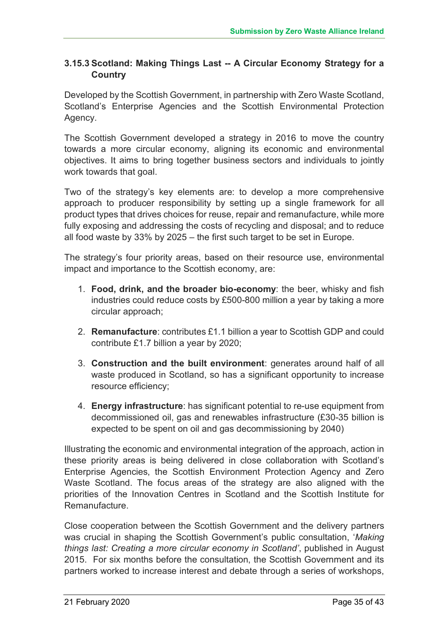#### **3.15.3 Scotland: Making Things Last -- A Circular Economy Strategy for a Country**

Developed by the Scottish Government, in partnership with Zero Waste Scotland, Scotland's Enterprise Agencies and the Scottish Environmental Protection Agency.

The Scottish Government developed a strategy in 2016 to move the country towards a more circular economy, aligning its economic and environmental objectives. It aims to bring together business sectors and individuals to jointly work towards that goal.

Two of the strategy's key elements are: to develop a more comprehensive approach to producer responsibility by setting up a single framework for all product types that drives choices for reuse, repair and remanufacture, while more fully exposing and addressing the costs of recycling and disposal; and to reduce all food waste by 33% by 2025 – the first such target to be set in Europe.

The strategy's four priority areas, based on their resource use, environmental impact and importance to the Scottish economy, are:

- 1. **Food, drink, and the broader bio-economy**: the beer, whisky and fish industries could reduce costs by £500-800 million a year by taking a more circular approach;
- 2. **Remanufacture**: contributes £1.1 billion a year to Scottish GDP and could contribute £1.7 billion a year by 2020;
- 3. **Construction and the built environment**: generates around half of all waste produced in Scotland, so has a significant opportunity to increase resource efficiency;
- 4. **Energy infrastructure**: has significant potential to re-use equipment from decommissioned oil, gas and renewables infrastructure (£30-35 billion is expected to be spent on oil and gas decommissioning by 2040)

Illustrating the economic and environmental integration of the approach, action in these priority areas is being delivered in close collaboration with Scotland's Enterprise Agencies, the Scottish Environment Protection Agency and Zero Waste Scotland. The focus areas of the strategy are also aligned with the priorities of the Innovation Centres in Scotland and the Scottish Institute for Remanufacture.

Close cooperation between the Scottish Government and the delivery partners was crucial in shaping the Scottish Government's public consultation, '*Making things last: Creating a more circular economy in Scotland'*, published in August 2015. For six months before the consultation, the Scottish Government and its partners worked to increase interest and debate through a series of workshops,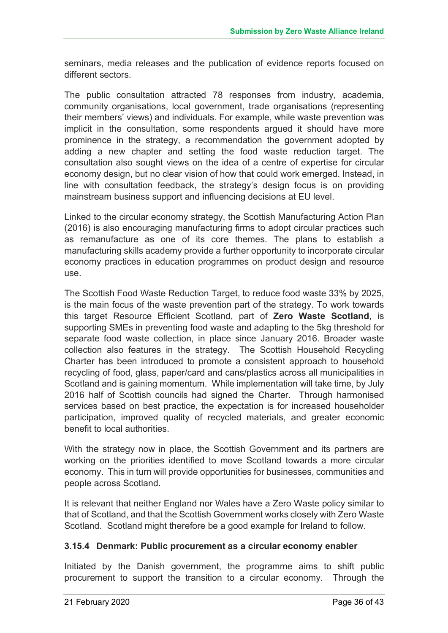seminars, media releases and the publication of evidence reports focused on different sectors.

The public consultation attracted 78 responses from industry, academia, community organisations, local government, trade organisations (representing their members' views) and individuals. For example, while waste prevention was implicit in the consultation, some respondents argued it should have more prominence in the strategy, a recommendation the government adopted by adding a new chapter and setting the food waste reduction target. The consultation also sought views on the idea of a centre of expertise for circular economy design, but no clear vision of how that could work emerged. Instead, in line with consultation feedback, the strategy's design focus is on providing mainstream business support and influencing decisions at EU level.

Linked to the circular economy strategy, the Scottish Manufacturing Action Plan (2016) is also encouraging manufacturing firms to adopt circular practices such as remanufacture as one of its core themes. The plans to establish a manufacturing skills academy provide a further opportunity to incorporate circular economy practices in education programmes on product design and resource use.

The Scottish Food Waste Reduction Target, to reduce food waste 33% by 2025, is the main focus of the waste prevention part of the strategy. To work towards this target Resource Efficient Scotland, part of **Zero Waste Scotland**, is supporting SMEs in preventing food waste and adapting to the 5kg threshold for separate food waste collection, in place since January 2016. Broader waste collection also features in the strategy. The Scottish Household Recycling Charter has been introduced to promote a consistent approach to household recycling of food, glass, paper/card and cans/plastics across all municipalities in Scotland and is gaining momentum. While implementation will take time, by July 2016 half of Scottish councils had signed the Charter. Through harmonised services based on best practice, the expectation is for increased householder participation, improved quality of recycled materials, and greater economic benefit to local authorities.

With the strategy now in place, the Scottish Government and its partners are working on the priorities identified to move Scotland towards a more circular economy. This in turn will provide opportunities for businesses, communities and people across Scotland.

It is relevant that neither England nor Wales have a Zero Waste policy similar to that of Scotland, and that the Scottish Government works closely with Zero Waste Scotland. Scotland might therefore be a good example for Ireland to follow.

#### **3.15.4 Denmark: Public procurement as a circular economy enabler**

Initiated by the Danish government, the programme aims to shift public procurement to support the transition to a circular economy. Through the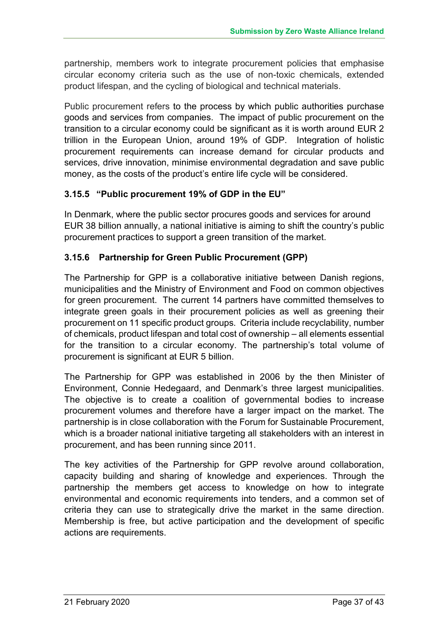partnership, members work to integrate procurement policies that emphasise circular economy criteria such as the use of non-toxic chemicals, extended product lifespan, and the cycling of biological and technical materials.

Public procurement refers to the process by which public authorities purchase goods and services from companies. The impact of public procurement on the transition to a circular economy could be significant as it is worth around EUR 2 trillion in the European Union, around 19% of GDP. Integration of holistic procurement requirements can increase demand for circular products and services, drive innovation, minimise environmental degradation and save public money, as the costs of the product's entire life cycle will be considered.

#### **3.15.5 "Public procurement 19% of GDP in the EU"**

In Denmark, where the public sector procures goods and services for around EUR 38 billion annually, a national initiative is aiming to shift the country's public procurement practices to support a green transition of the market.

#### **3.15.6 Partnership for Green Public Procurement (GPP)**

The Partnership for GPP is a collaborative initiative between Danish regions, municipalities and the Ministry of Environment and Food on common objectives for green procurement. The current 14 partners have committed themselves to integrate green goals in their procurement policies as well as greening their procurement on 11 specific product groups. Criteria include recyclability, number of chemicals, product lifespan and total cost of ownership – all elements essential for the transition to a circular economy. The partnership's total volume of procurement is significant at EUR 5 billion.

The Partnership for GPP was established in 2006 by the then Minister of Environment, Connie Hedegaard, and Denmark's three largest municipalities. The objective is to create a coalition of governmental bodies to increase procurement volumes and therefore have a larger impact on the market. The partnership is in close collaboration with the Forum for Sustainable Procurement, which is a broader national initiative targeting all stakeholders with an interest in procurement, and has been running since 2011.

The key activities of the Partnership for GPP revolve around collaboration, capacity building and sharing of knowledge and experiences. Through the partnership the members get access to knowledge on how to integrate environmental and economic requirements into tenders, and a common set of criteria they can use to strategically drive the market in the same direction. Membership is free, but active participation and the development of specific actions are requirements.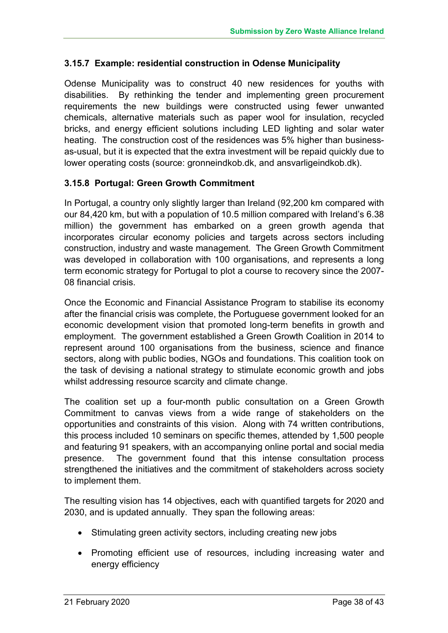#### **3.15.7 Example: residential construction in Odense Municipality**

Odense Municipality was to construct 40 new residences for youths with disabilities. By rethinking the tender and implementing green procurement requirements the new buildings were constructed using fewer unwanted chemicals, alternative materials such as paper wool for insulation, recycled bricks, and energy efficient solutions including LED lighting and solar water heating. The construction cost of the residences was 5% higher than businessas-usual, but it is expected that the extra investment will be repaid quickly due to lower operating costs (source: gronneindkob.dk, and ansvarligeindkob.dk).

#### **3.15.8 Portugal: Green Growth Commitment**

In Portugal, a country only slightly larger than Ireland (92,200 km compared with our 84,420 km, but with a population of 10.5 million compared with Ireland's 6.38 million) the government has embarked on a green growth agenda that incorporates circular economy policies and targets across sectors including construction, industry and waste management. The Green Growth Commitment was developed in collaboration with 100 organisations, and represents a long term economic strategy for Portugal to plot a course to recovery since the 2007- 08 financial crisis.

Once the Economic and Financial Assistance Program to stabilise its economy after the financial crisis was complete, the Portuguese government looked for an economic development vision that promoted long-term benefits in growth and employment. The government established a Green Growth Coalition in 2014 to represent around 100 organisations from the business, science and finance sectors, along with public bodies, NGOs and foundations. This coalition took on the task of devising a national strategy to stimulate economic growth and jobs whilst addressing resource scarcity and climate change.

The coalition set up a four-month public consultation on a Green Growth Commitment to canvas views from a wide range of stakeholders on the opportunities and constraints of this vision. Along with 74 written contributions, this process included 10 seminars on specific themes, attended by 1,500 people and featuring 91 speakers, with an accompanying online portal and social media presence. The government found that this intense consultation process strengthened the initiatives and the commitment of stakeholders across society to implement them.

The resulting vision has 14 objectives, each with quantified targets for 2020 and 2030, and is updated annually. They span the following areas:

- Stimulating green activity sectors, including creating new jobs
- Promoting efficient use of resources, including increasing water and energy efficiency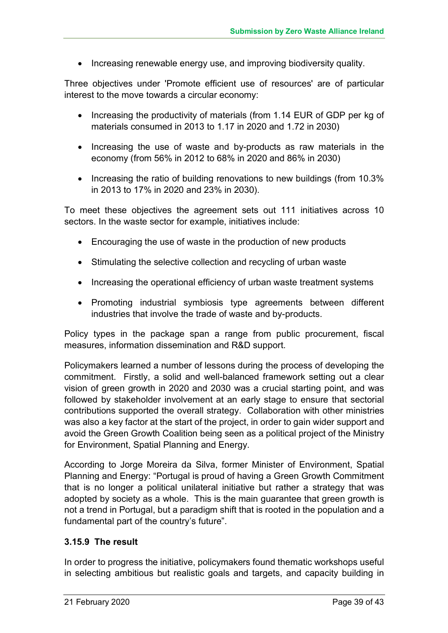• Increasing renewable energy use, and improving biodiversity quality.

Three objectives under 'Promote efficient use of resources' are of particular interest to the move towards a circular economy:

- Increasing the productivity of materials (from 1.14 EUR of GDP per kg of materials consumed in 2013 to 1.17 in 2020 and 1.72 in 2030)
- Increasing the use of waste and by-products as raw materials in the economy (from 56% in 2012 to 68% in 2020 and 86% in 2030)
- Increasing the ratio of building renovations to new buildings (from 10.3%) in 2013 to 17% in 2020 and 23% in 2030).

To meet these objectives the agreement sets out 111 initiatives across 10 sectors. In the waste sector for example, initiatives include:

- Encouraging the use of waste in the production of new products
- Stimulating the selective collection and recycling of urban waste
- Increasing the operational efficiency of urban waste treatment systems
- Promoting industrial symbiosis type agreements between different industries that involve the trade of waste and by-products.

Policy types in the package span a range from public procurement, fiscal measures, information dissemination and R&D support.

Policymakers learned a number of lessons during the process of developing the commitment. Firstly, a solid and well-balanced framework setting out a clear vision of green growth in 2020 and 2030 was a crucial starting point, and was followed by stakeholder involvement at an early stage to ensure that sectorial contributions supported the overall strategy. Collaboration with other ministries was also a key factor at the start of the project, in order to gain wider support and avoid the Green Growth Coalition being seen as a political project of the Ministry for Environment, Spatial Planning and Energy.

According to Jorge Moreira da Silva, former Minister of Environment, Spatial Planning and Energy: "Portugal is proud of having a Green Growth Commitment that is no longer a political unilateral initiative but rather a strategy that was adopted by society as a whole. This is the main guarantee that green growth is not a trend in Portugal, but a paradigm shift that is rooted in the population and a fundamental part of the country's future".

#### **3.15.9 The result**

In order to progress the initiative, policymakers found thematic workshops useful in selecting ambitious but realistic goals and targets, and capacity building in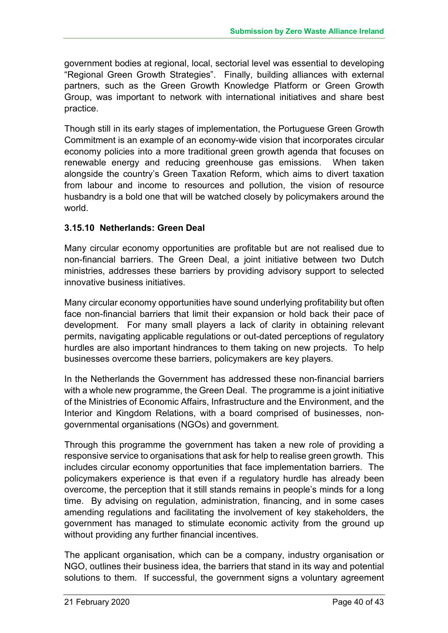government bodies at regional, local, sectorial level was essential to developing "Regional Green Growth Strategies". Finally, building alliances with external partners, such as the Green Growth Knowledge Platform or Green Growth Group, was important to network with international initiatives and share best practice.

Though still in its early stages of implementation, the Portuguese Green Growth Commitment is an example of an economy-wide vision that incorporates circular economy policies into a more traditional green growth agenda that focuses on renewable energy and reducing greenhouse gas emissions. When taken alongside the country's Green Taxation Reform, which aims to divert taxation from labour and income to resources and pollution, the vision of resource husbandry is a bold one that will be watched closely by policymakers around the world.

#### **3.15.10 Netherlands: Green Deal**

Many circular economy opportunities are profitable but are not realised due to non-financial barriers. The Green Deal, a joint initiative between two Dutch ministries, addresses these barriers by providing advisory support to selected innovative business initiatives.

Many circular economy opportunities have sound underlying profitability but often face non-financial barriers that limit their expansion or hold back their pace of development. For many small players a lack of clarity in obtaining relevant permits, navigating applicable regulations or out-dated perceptions of regulatory hurdles are also important hindrances to them taking on new projects. To help businesses overcome these barriers, policymakers are key players.

In the Netherlands the Government has addressed these non-financial barriers with a whole new programme, the Green Deal. The programme is a joint initiative of the Ministries of Economic Affairs, Infrastructure and the Environment, and the Interior and Kingdom Relations, with a board comprised of businesses, nongovernmental organisations (NGOs) and government.

Through this programme the government has taken a new role of providing a responsive service to organisations that ask for help to realise green growth. This includes circular economy opportunities that face implementation barriers. The policymakers experience is that even if a regulatory hurdle has already been overcome, the perception that it still stands remains in people's minds for a long time. By advising on regulation, administration, financing, and in some cases amending regulations and facilitating the involvement of key stakeholders, the government has managed to stimulate economic activity from the ground up without providing any further financial incentives.

The applicant organisation, which can be a company, industry organisation or NGO, outlines their business idea, the barriers that stand in its way and potential solutions to them. If successful, the government signs a voluntary agreement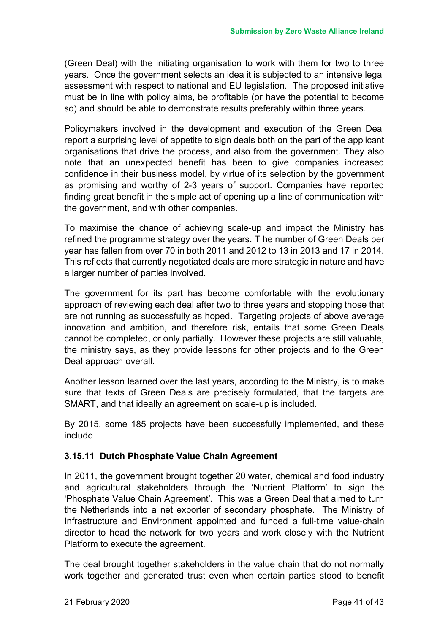(Green Deal) with the initiating organisation to work with them for two to three years. Once the government selects an idea it is subjected to an intensive legal assessment with respect to national and EU legislation. The proposed initiative must be in line with policy aims, be profitable (or have the potential to become so) and should be able to demonstrate results preferably within three years.

Policymakers involved in the development and execution of the Green Deal report a surprising level of appetite to sign deals both on the part of the applicant organisations that drive the process, and also from the government. They also note that an unexpected benefit has been to give companies increased confidence in their business model, by virtue of its selection by the government as promising and worthy of 2-3 years of support. Companies have reported finding great benefit in the simple act of opening up a line of communication with the government, and with other companies.

To maximise the chance of achieving scale-up and impact the Ministry has refined the programme strategy over the years. T he number of Green Deals per year has fallen from over 70 in both 2011 and 2012 to 13 in 2013 and 17 in 2014. This reflects that currently negotiated deals are more strategic in nature and have a larger number of parties involved.

The government for its part has become comfortable with the evolutionary approach of reviewing each deal after two to three years and stopping those that are not running as successfully as hoped. Targeting projects of above average innovation and ambition, and therefore risk, entails that some Green Deals cannot be completed, or only partially. However these projects are still valuable, the ministry says, as they provide lessons for other projects and to the Green Deal approach overall.

Another lesson learned over the last years, according to the Ministry, is to make sure that texts of Green Deals are precisely formulated, that the targets are SMART, and that ideally an agreement on scale-up is included.

By 2015, some 185 projects have been successfully implemented, and these include

#### **3.15.11 Dutch Phosphate Value Chain Agreement**

In 2011, the government brought together 20 water, chemical and food industry and agricultural stakeholders through the 'Nutrient Platform' to sign the 'Phosphate Value Chain Agreement'. This was a Green Deal that aimed to turn the Netherlands into a net exporter of secondary phosphate. The Ministry of Infrastructure and Environment appointed and funded a full-time value-chain director to head the network for two years and work closely with the Nutrient Platform to execute the agreement.

The deal brought together stakeholders in the value chain that do not normally work together and generated trust even when certain parties stood to benefit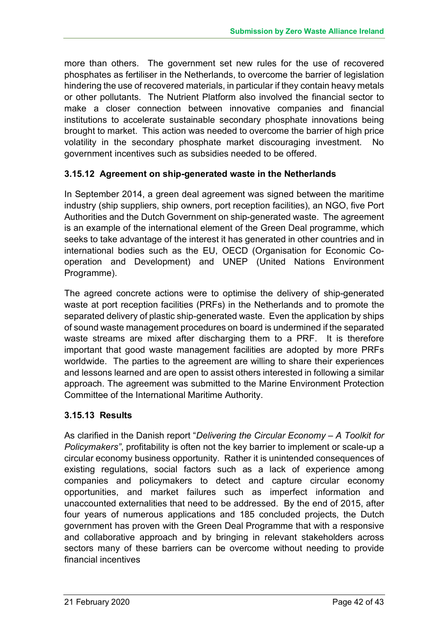more than others. The government set new rules for the use of recovered phosphates as fertiliser in the Netherlands, to overcome the barrier of legislation hindering the use of recovered materials, in particular if they contain heavy metals or other pollutants. The Nutrient Platform also involved the financial sector to make a closer connection between innovative companies and financial institutions to accelerate sustainable secondary phosphate innovations being brought to market. This action was needed to overcome the barrier of high price volatility in the secondary phosphate market discouraging investment. No government incentives such as subsidies needed to be offered.

#### **3.15.12 Agreement on ship-generated waste in the Netherlands**

In September 2014, a green deal agreement was signed between the maritime industry (ship suppliers, ship owners, port reception facilities), an NGO, five Port Authorities and the Dutch Government on ship-generated waste. The agreement is an example of the international element of the Green Deal programme, which seeks to take advantage of the interest it has generated in other countries and in international bodies such as the EU, OECD (Organisation for Economic Cooperation and Development) and UNEP (United Nations Environment Programme).

The agreed concrete actions were to optimise the delivery of ship-generated waste at port reception facilities (PRFs) in the Netherlands and to promote the separated delivery of plastic ship-generated waste. Even the application by ships of sound waste management procedures on board is undermined if the separated waste streams are mixed after discharging them to a PRF. It is therefore important that good waste management facilities are adopted by more PRFs worldwide. The parties to the agreement are willing to share their experiences and lessons learned and are open to assist others interested in following a similar approach. The agreement was submitted to the Marine Environment Protection Committee of the International Maritime Authority.

#### **3.15.13 Results**

As clarified in the Danish report "*Delivering the Circular Economy – A Toolkit for Policymakers"*, profitability is often not the key barrier to implement or scale-up a circular economy business opportunity. Rather it is unintended consequences of existing regulations, social factors such as a lack of experience among companies and policymakers to detect and capture circular economy opportunities, and market failures such as imperfect information and unaccounted externalities that need to be addressed. By the end of 2015, after four years of numerous applications and 185 concluded projects, the Dutch government has proven with the Green Deal Programme that with a responsive and collaborative approach and by bringing in relevant stakeholders across sectors many of these barriers can be overcome without needing to provide financial incentives